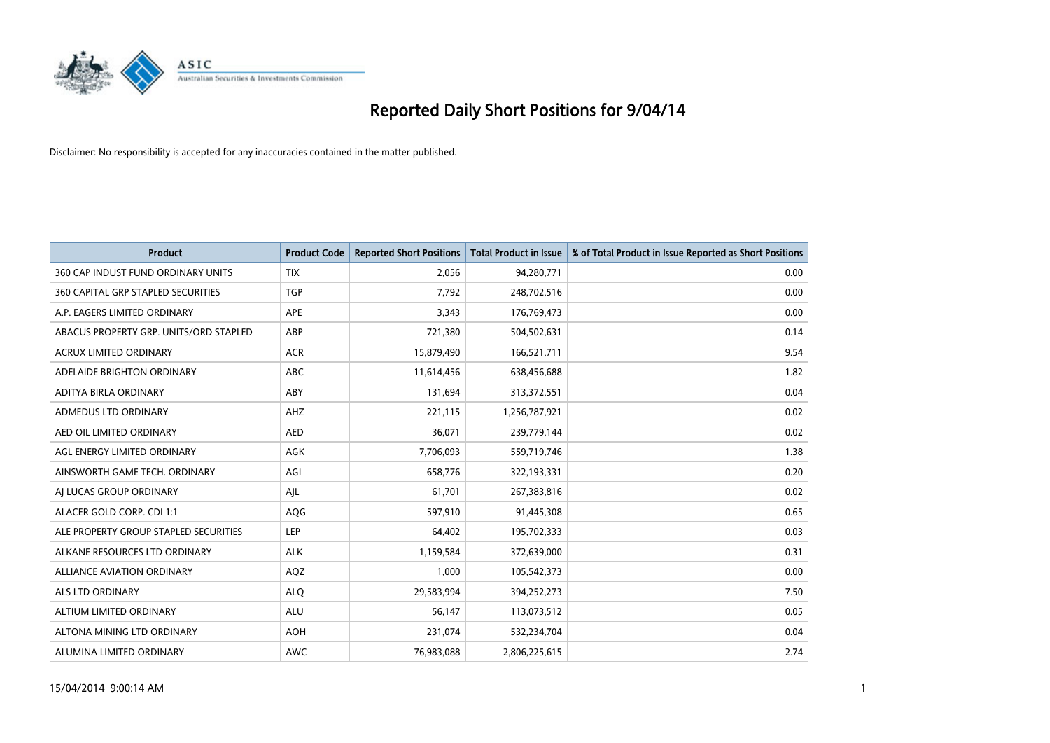

| <b>Product</b>                         | <b>Product Code</b> | <b>Reported Short Positions</b> | <b>Total Product in Issue</b> | % of Total Product in Issue Reported as Short Positions |
|----------------------------------------|---------------------|---------------------------------|-------------------------------|---------------------------------------------------------|
| 360 CAP INDUST FUND ORDINARY UNITS     | <b>TIX</b>          | 2,056                           | 94,280,771                    | 0.00                                                    |
| 360 CAPITAL GRP STAPLED SECURITIES     | <b>TGP</b>          | 7,792                           | 248,702,516                   | 0.00                                                    |
| A.P. EAGERS LIMITED ORDINARY           | <b>APE</b>          | 3,343                           | 176,769,473                   | 0.00                                                    |
| ABACUS PROPERTY GRP. UNITS/ORD STAPLED | ABP                 | 721,380                         | 504,502,631                   | 0.14                                                    |
| <b>ACRUX LIMITED ORDINARY</b>          | <b>ACR</b>          | 15,879,490                      | 166,521,711                   | 9.54                                                    |
| ADELAIDE BRIGHTON ORDINARY             | <b>ABC</b>          | 11,614,456                      | 638,456,688                   | 1.82                                                    |
| ADITYA BIRLA ORDINARY                  | ABY                 | 131,694                         | 313,372,551                   | 0.04                                                    |
| ADMEDUS LTD ORDINARY                   | AHZ                 | 221,115                         | 1,256,787,921                 | 0.02                                                    |
| AED OIL LIMITED ORDINARY               | <b>AED</b>          | 36,071                          | 239,779,144                   | 0.02                                                    |
| AGL ENERGY LIMITED ORDINARY            | <b>AGK</b>          | 7,706,093                       | 559,719,746                   | 1.38                                                    |
| AINSWORTH GAME TECH. ORDINARY          | AGI                 | 658,776                         | 322,193,331                   | 0.20                                                    |
| AI LUCAS GROUP ORDINARY                | AJL                 | 61,701                          | 267,383,816                   | 0.02                                                    |
| ALACER GOLD CORP. CDI 1:1              | AQG                 | 597,910                         | 91,445,308                    | 0.65                                                    |
| ALE PROPERTY GROUP STAPLED SECURITIES  | LEP                 | 64,402                          | 195,702,333                   | 0.03                                                    |
| ALKANE RESOURCES LTD ORDINARY          | <b>ALK</b>          | 1,159,584                       | 372,639,000                   | 0.31                                                    |
| ALLIANCE AVIATION ORDINARY             | AQZ                 | 1,000                           | 105,542,373                   | 0.00                                                    |
| ALS LTD ORDINARY                       | <b>ALQ</b>          | 29,583,994                      | 394,252,273                   | 7.50                                                    |
| ALTIUM LIMITED ORDINARY                | ALU                 | 56,147                          | 113,073,512                   | 0.05                                                    |
| ALTONA MINING LTD ORDINARY             | <b>AOH</b>          | 231,074                         | 532,234,704                   | 0.04                                                    |
| ALUMINA LIMITED ORDINARY               | <b>AWC</b>          | 76,983,088                      | 2,806,225,615                 | 2.74                                                    |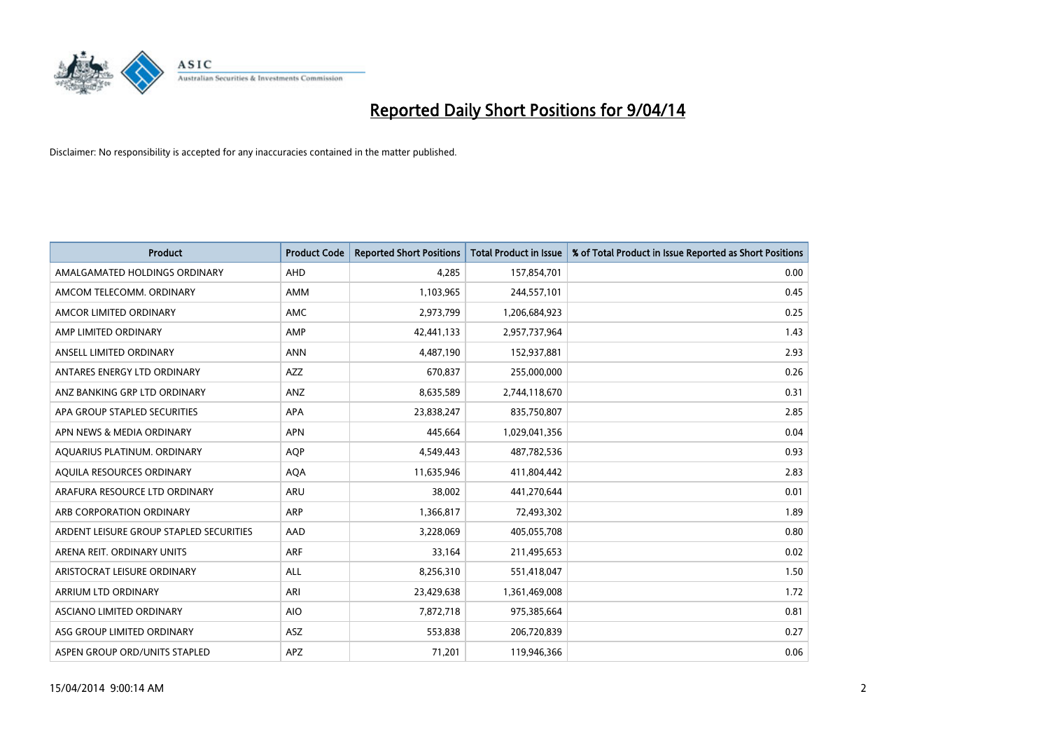

| <b>Product</b>                          | <b>Product Code</b> | <b>Reported Short Positions</b> | <b>Total Product in Issue</b> | % of Total Product in Issue Reported as Short Positions |
|-----------------------------------------|---------------------|---------------------------------|-------------------------------|---------------------------------------------------------|
| AMALGAMATED HOLDINGS ORDINARY           | AHD                 | 4,285                           | 157,854,701                   | 0.00                                                    |
| AMCOM TELECOMM. ORDINARY                | AMM                 | 1,103,965                       | 244,557,101                   | 0.45                                                    |
| AMCOR LIMITED ORDINARY                  | AMC                 | 2,973,799                       | 1,206,684,923                 | 0.25                                                    |
| AMP LIMITED ORDINARY                    | AMP                 | 42,441,133                      | 2,957,737,964                 | 1.43                                                    |
| ANSELL LIMITED ORDINARY                 | <b>ANN</b>          | 4,487,190                       | 152,937,881                   | 2.93                                                    |
| ANTARES ENERGY LTD ORDINARY             | <b>AZZ</b>          | 670,837                         | 255,000,000                   | 0.26                                                    |
| ANZ BANKING GRP LTD ORDINARY            | ANZ                 | 8,635,589                       | 2,744,118,670                 | 0.31                                                    |
| APA GROUP STAPLED SECURITIES            | APA                 | 23,838,247                      | 835,750,807                   | 2.85                                                    |
| APN NEWS & MEDIA ORDINARY               | <b>APN</b>          | 445,664                         | 1,029,041,356                 | 0.04                                                    |
| AQUARIUS PLATINUM. ORDINARY             | <b>AOP</b>          | 4,549,443                       | 487,782,536                   | 0.93                                                    |
| AQUILA RESOURCES ORDINARY               | <b>AQA</b>          | 11,635,946                      | 411,804,442                   | 2.83                                                    |
| ARAFURA RESOURCE LTD ORDINARY           | ARU                 | 38,002                          | 441,270,644                   | 0.01                                                    |
| ARB CORPORATION ORDINARY                | ARP                 | 1,366,817                       | 72,493,302                    | 1.89                                                    |
| ARDENT LEISURE GROUP STAPLED SECURITIES | AAD                 | 3,228,069                       | 405,055,708                   | 0.80                                                    |
| ARENA REIT. ORDINARY UNITS              | <b>ARF</b>          | 33,164                          | 211,495,653                   | 0.02                                                    |
| ARISTOCRAT LEISURE ORDINARY             | ALL                 | 8,256,310                       | 551,418,047                   | 1.50                                                    |
| ARRIUM LTD ORDINARY                     | ARI                 | 23,429,638                      | 1,361,469,008                 | 1.72                                                    |
| ASCIANO LIMITED ORDINARY                | <b>AIO</b>          | 7,872,718                       | 975,385,664                   | 0.81                                                    |
| ASG GROUP LIMITED ORDINARY              | ASZ                 | 553,838                         | 206,720,839                   | 0.27                                                    |
| ASPEN GROUP ORD/UNITS STAPLED           | APZ                 | 71,201                          | 119,946,366                   | 0.06                                                    |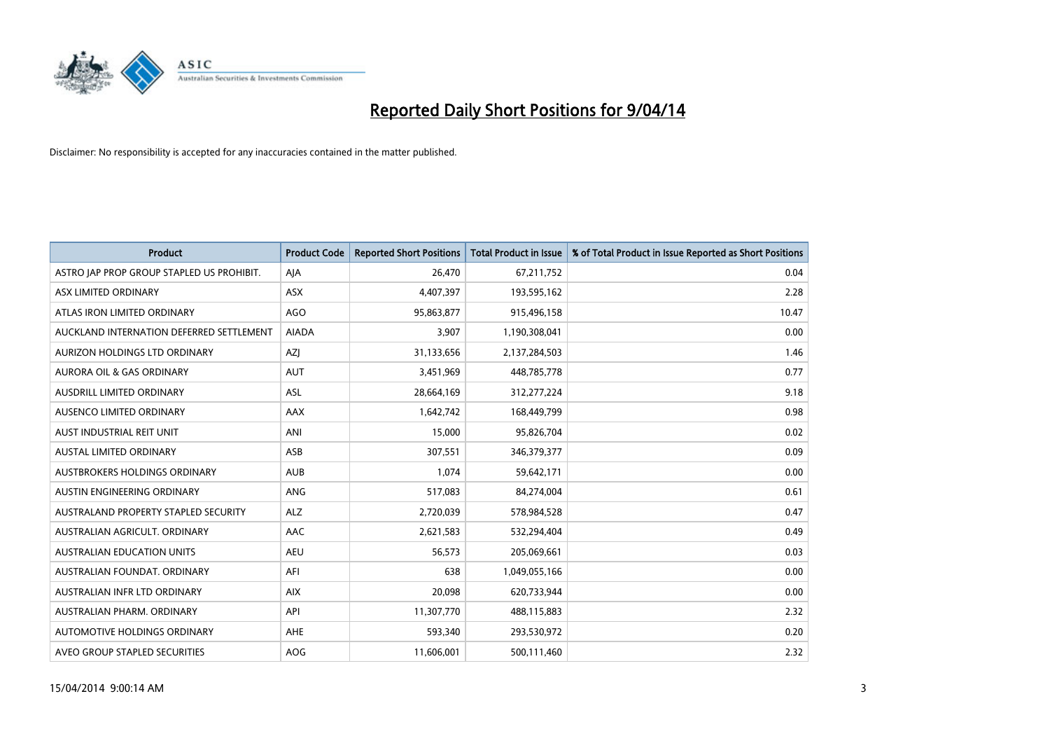

| <b>Product</b>                            | <b>Product Code</b> | <b>Reported Short Positions</b> | <b>Total Product in Issue</b> | % of Total Product in Issue Reported as Short Positions |
|-------------------------------------------|---------------------|---------------------------------|-------------------------------|---------------------------------------------------------|
| ASTRO JAP PROP GROUP STAPLED US PROHIBIT. | AJA                 | 26,470                          | 67,211,752                    | 0.04                                                    |
| ASX LIMITED ORDINARY                      | ASX                 | 4,407,397                       | 193,595,162                   | 2.28                                                    |
| ATLAS IRON LIMITED ORDINARY               | AGO                 | 95,863,877                      | 915,496,158                   | 10.47                                                   |
| AUCKLAND INTERNATION DEFERRED SETTLEMENT  | <b>AIADA</b>        | 3,907                           | 1,190,308,041                 | 0.00                                                    |
| AURIZON HOLDINGS LTD ORDINARY             | <b>AZI</b>          | 31,133,656                      | 2,137,284,503                 | 1.46                                                    |
| <b>AURORA OIL &amp; GAS ORDINARY</b>      | <b>AUT</b>          | 3,451,969                       | 448,785,778                   | 0.77                                                    |
| AUSDRILL LIMITED ORDINARY                 | ASL                 | 28,664,169                      | 312,277,224                   | 9.18                                                    |
| AUSENCO LIMITED ORDINARY                  | AAX                 | 1,642,742                       | 168,449,799                   | 0.98                                                    |
| AUST INDUSTRIAL REIT UNIT                 | ANI                 | 15,000                          | 95,826,704                    | 0.02                                                    |
| <b>AUSTAL LIMITED ORDINARY</b>            | ASB                 | 307,551                         | 346,379,377                   | 0.09                                                    |
| AUSTBROKERS HOLDINGS ORDINARY             | <b>AUB</b>          | 1,074                           | 59,642,171                    | 0.00                                                    |
| AUSTIN ENGINEERING ORDINARY               | ANG                 | 517,083                         | 84,274,004                    | 0.61                                                    |
| AUSTRALAND PROPERTY STAPLED SECURITY      | <b>ALZ</b>          | 2,720,039                       | 578,984,528                   | 0.47                                                    |
| AUSTRALIAN AGRICULT, ORDINARY             | AAC                 | 2,621,583                       | 532,294,404                   | 0.49                                                    |
| <b>AUSTRALIAN EDUCATION UNITS</b>         | <b>AEU</b>          | 56,573                          | 205,069,661                   | 0.03                                                    |
| AUSTRALIAN FOUNDAT. ORDINARY              | AFI                 | 638                             | 1,049,055,166                 | 0.00                                                    |
| AUSTRALIAN INFR LTD ORDINARY              | <b>AIX</b>          | 20,098                          | 620,733,944                   | 0.00                                                    |
| AUSTRALIAN PHARM. ORDINARY                | API                 | 11,307,770                      | 488,115,883                   | 2.32                                                    |
| AUTOMOTIVE HOLDINGS ORDINARY              | AHE                 | 593,340                         | 293,530,972                   | 0.20                                                    |
| AVEO GROUP STAPLED SECURITIES             | AOG                 | 11,606,001                      | 500,111,460                   | 2.32                                                    |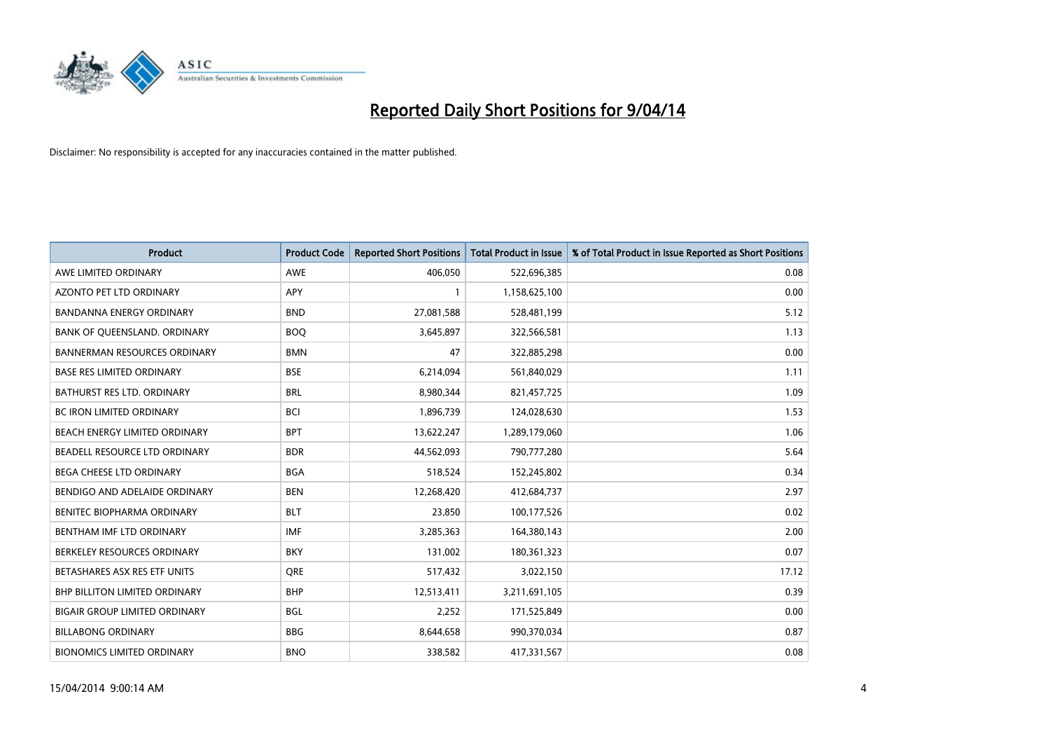

| <b>Product</b>                      | <b>Product Code</b> | <b>Reported Short Positions</b> | <b>Total Product in Issue</b> | % of Total Product in Issue Reported as Short Positions |
|-------------------------------------|---------------------|---------------------------------|-------------------------------|---------------------------------------------------------|
| AWE LIMITED ORDINARY                | <b>AWE</b>          | 406,050                         | 522,696,385                   | 0.08                                                    |
| AZONTO PET LTD ORDINARY             | APY                 | $\mathbf{1}$                    | 1,158,625,100                 | 0.00                                                    |
| <b>BANDANNA ENERGY ORDINARY</b>     | <b>BND</b>          | 27,081,588                      | 528,481,199                   | 5.12                                                    |
| BANK OF QUEENSLAND. ORDINARY        | <b>BOQ</b>          | 3,645,897                       | 322,566,581                   | 1.13                                                    |
| <b>BANNERMAN RESOURCES ORDINARY</b> | <b>BMN</b>          | 47                              | 322,885,298                   | 0.00                                                    |
| <b>BASE RES LIMITED ORDINARY</b>    | <b>BSE</b>          | 6,214,094                       | 561,840,029                   | 1.11                                                    |
| <b>BATHURST RES LTD. ORDINARY</b>   | <b>BRL</b>          | 8,980,344                       | 821,457,725                   | 1.09                                                    |
| <b>BC IRON LIMITED ORDINARY</b>     | <b>BCI</b>          | 1,896,739                       | 124,028,630                   | 1.53                                                    |
| BEACH ENERGY LIMITED ORDINARY       | <b>BPT</b>          | 13,622,247                      | 1,289,179,060                 | 1.06                                                    |
| BEADELL RESOURCE LTD ORDINARY       | <b>BDR</b>          | 44,562,093                      | 790,777,280                   | 5.64                                                    |
| BEGA CHEESE LTD ORDINARY            | <b>BGA</b>          | 518,524                         | 152,245,802                   | 0.34                                                    |
| BENDIGO AND ADELAIDE ORDINARY       | <b>BEN</b>          | 12,268,420                      | 412,684,737                   | 2.97                                                    |
| BENITEC BIOPHARMA ORDINARY          | <b>BLT</b>          | 23,850                          | 100,177,526                   | 0.02                                                    |
| BENTHAM IMF LTD ORDINARY            | <b>IMF</b>          | 3,285,363                       | 164,380,143                   | 2.00                                                    |
| BERKELEY RESOURCES ORDINARY         | <b>BKY</b>          | 131,002                         | 180,361,323                   | 0.07                                                    |
| BETASHARES ASX RES ETF UNITS        | <b>ORE</b>          | 517,432                         | 3,022,150                     | 17.12                                                   |
| BHP BILLITON LIMITED ORDINARY       | <b>BHP</b>          | 12,513,411                      | 3,211,691,105                 | 0.39                                                    |
| BIGAIR GROUP LIMITED ORDINARY       | <b>BGL</b>          | 2,252                           | 171,525,849                   | 0.00                                                    |
| <b>BILLABONG ORDINARY</b>           | <b>BBG</b>          | 8,644,658                       | 990,370,034                   | 0.87                                                    |
| <b>BIONOMICS LIMITED ORDINARY</b>   | <b>BNO</b>          | 338,582                         | 417,331,567                   | 0.08                                                    |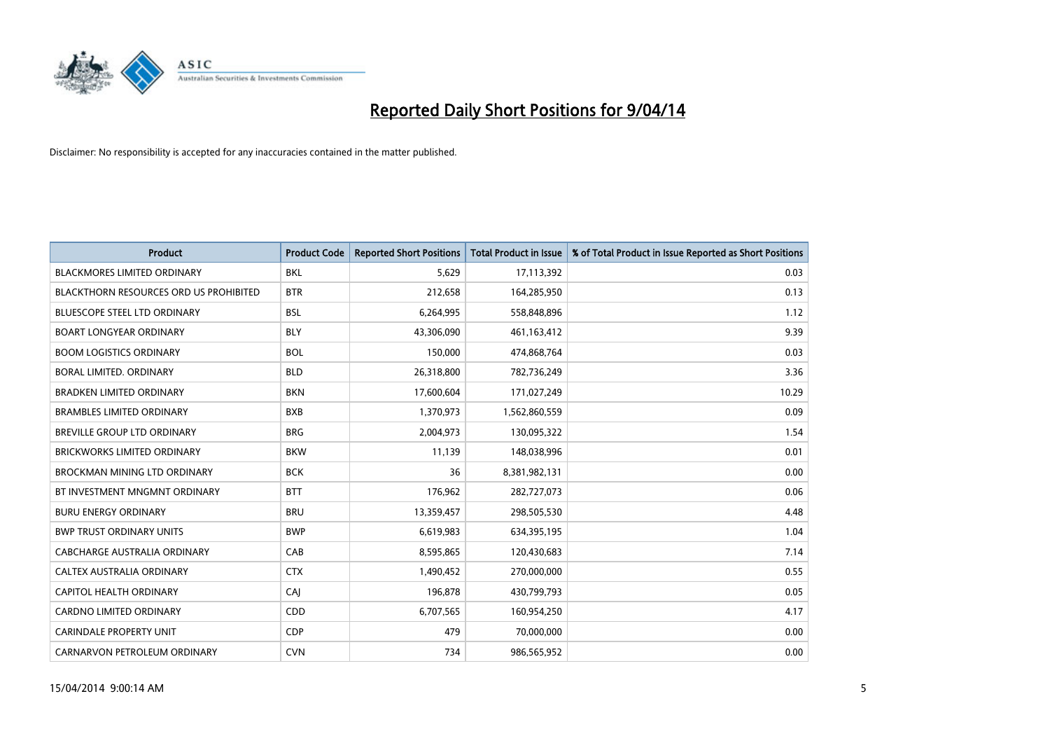

| <b>Product</b>                         | <b>Product Code</b> | <b>Reported Short Positions</b> | <b>Total Product in Issue</b> | % of Total Product in Issue Reported as Short Positions |
|----------------------------------------|---------------------|---------------------------------|-------------------------------|---------------------------------------------------------|
| <b>BLACKMORES LIMITED ORDINARY</b>     | <b>BKL</b>          | 5,629                           | 17,113,392                    | 0.03                                                    |
| BLACKTHORN RESOURCES ORD US PROHIBITED | <b>BTR</b>          | 212,658                         | 164,285,950                   | 0.13                                                    |
| <b>BLUESCOPE STEEL LTD ORDINARY</b>    | <b>BSL</b>          | 6,264,995                       | 558,848,896                   | 1.12                                                    |
| <b>BOART LONGYEAR ORDINARY</b>         | <b>BLY</b>          | 43,306,090                      | 461,163,412                   | 9.39                                                    |
| <b>BOOM LOGISTICS ORDINARY</b>         | <b>BOL</b>          | 150,000                         | 474,868,764                   | 0.03                                                    |
| <b>BORAL LIMITED, ORDINARY</b>         | <b>BLD</b>          | 26,318,800                      | 782,736,249                   | 3.36                                                    |
| <b>BRADKEN LIMITED ORDINARY</b>        | <b>BKN</b>          | 17,600,604                      | 171,027,249                   | 10.29                                                   |
| <b>BRAMBLES LIMITED ORDINARY</b>       | <b>BXB</b>          | 1,370,973                       | 1,562,860,559                 | 0.09                                                    |
| <b>BREVILLE GROUP LTD ORDINARY</b>     | <b>BRG</b>          | 2,004,973                       | 130,095,322                   | 1.54                                                    |
| <b>BRICKWORKS LIMITED ORDINARY</b>     | <b>BKW</b>          | 11,139                          | 148,038,996                   | 0.01                                                    |
| BROCKMAN MINING LTD ORDINARY           | <b>BCK</b>          | 36                              | 8,381,982,131                 | 0.00                                                    |
| BT INVESTMENT MNGMNT ORDINARY          | <b>BTT</b>          | 176,962                         | 282,727,073                   | 0.06                                                    |
| <b>BURU ENERGY ORDINARY</b>            | <b>BRU</b>          | 13,359,457                      | 298,505,530                   | 4.48                                                    |
| <b>BWP TRUST ORDINARY UNITS</b>        | <b>BWP</b>          | 6,619,983                       | 634,395,195                   | 1.04                                                    |
| <b>CABCHARGE AUSTRALIA ORDINARY</b>    | CAB                 | 8,595,865                       | 120,430,683                   | 7.14                                                    |
| CALTEX AUSTRALIA ORDINARY              | <b>CTX</b>          | 1,490,452                       | 270,000,000                   | 0.55                                                    |
| CAPITOL HEALTH ORDINARY                | CAJ                 | 196,878                         | 430,799,793                   | 0.05                                                    |
| CARDNO LIMITED ORDINARY                | CDD                 | 6,707,565                       | 160,954,250                   | 4.17                                                    |
| <b>CARINDALE PROPERTY UNIT</b>         | <b>CDP</b>          | 479                             | 70,000,000                    | 0.00                                                    |
| CARNARVON PETROLEUM ORDINARY           | <b>CVN</b>          | 734                             | 986,565,952                   | 0.00                                                    |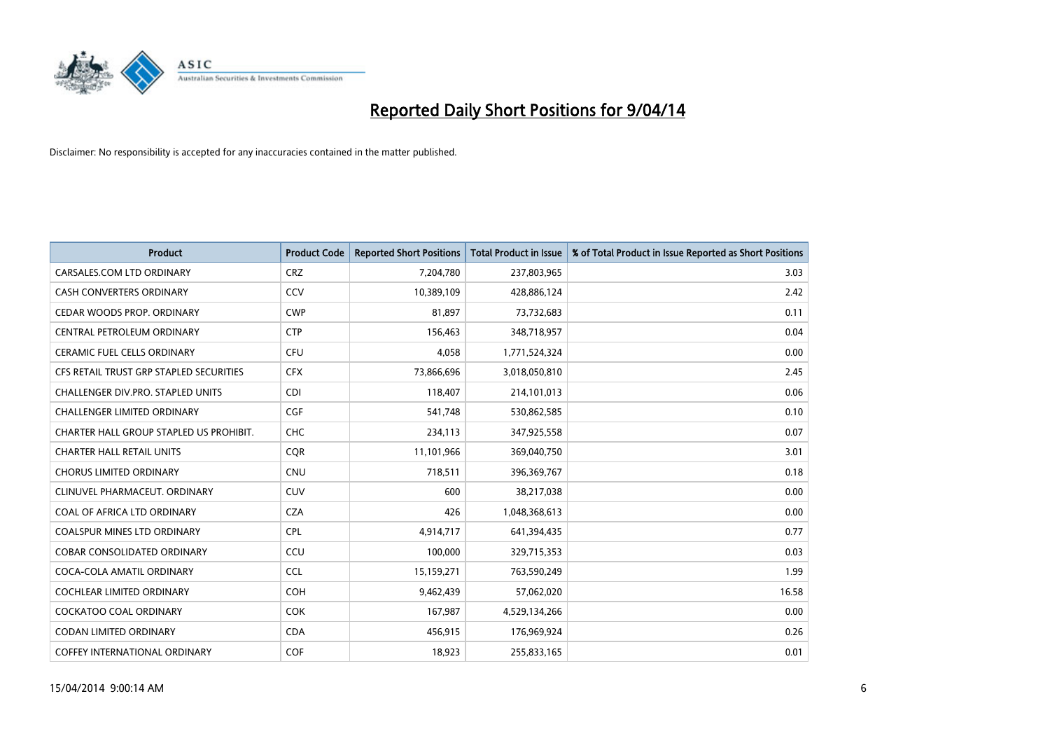

| <b>Product</b>                          | <b>Product Code</b> | <b>Reported Short Positions</b> | <b>Total Product in Issue</b> | % of Total Product in Issue Reported as Short Positions |
|-----------------------------------------|---------------------|---------------------------------|-------------------------------|---------------------------------------------------------|
| CARSALES.COM LTD ORDINARY               | <b>CRZ</b>          | 7,204,780                       | 237,803,965                   | 3.03                                                    |
| CASH CONVERTERS ORDINARY                | <b>CCV</b>          | 10,389,109                      | 428,886,124                   | 2.42                                                    |
| CEDAR WOODS PROP. ORDINARY              | <b>CWP</b>          | 81,897                          | 73,732,683                    | 0.11                                                    |
| CENTRAL PETROLEUM ORDINARY              | <b>CTP</b>          | 156,463                         | 348,718,957                   | 0.04                                                    |
| <b>CERAMIC FUEL CELLS ORDINARY</b>      | <b>CFU</b>          | 4,058                           | 1,771,524,324                 | 0.00                                                    |
| CFS RETAIL TRUST GRP STAPLED SECURITIES | <b>CFX</b>          | 73,866,696                      | 3,018,050,810                 | 2.45                                                    |
| CHALLENGER DIV.PRO. STAPLED UNITS       | <b>CDI</b>          | 118,407                         | 214,101,013                   | 0.06                                                    |
| <b>CHALLENGER LIMITED ORDINARY</b>      | <b>CGF</b>          | 541,748                         | 530,862,585                   | 0.10                                                    |
| CHARTER HALL GROUP STAPLED US PROHIBIT. | <b>CHC</b>          | 234,113                         | 347,925,558                   | 0.07                                                    |
| <b>CHARTER HALL RETAIL UNITS</b>        | <b>CQR</b>          | 11,101,966                      | 369,040,750                   | 3.01                                                    |
| <b>CHORUS LIMITED ORDINARY</b>          | <b>CNU</b>          | 718,511                         | 396,369,767                   | 0.18                                                    |
| CLINUVEL PHARMACEUT. ORDINARY           | <b>CUV</b>          | 600                             | 38,217,038                    | 0.00                                                    |
| COAL OF AFRICA LTD ORDINARY             | <b>CZA</b>          | 426                             | 1,048,368,613                 | 0.00                                                    |
| <b>COALSPUR MINES LTD ORDINARY</b>      | <b>CPL</b>          | 4,914,717                       | 641,394,435                   | 0.77                                                    |
| <b>COBAR CONSOLIDATED ORDINARY</b>      | CCU                 | 100,000                         | 329,715,353                   | 0.03                                                    |
| COCA-COLA AMATIL ORDINARY               | <b>CCL</b>          | 15,159,271                      | 763,590,249                   | 1.99                                                    |
| <b>COCHLEAR LIMITED ORDINARY</b>        | <b>COH</b>          | 9,462,439                       | 57,062,020                    | 16.58                                                   |
| <b>COCKATOO COAL ORDINARY</b>           | <b>COK</b>          | 167,987                         | 4,529,134,266                 | 0.00                                                    |
| <b>CODAN LIMITED ORDINARY</b>           | <b>CDA</b>          | 456,915                         | 176,969,924                   | 0.26                                                    |
| <b>COFFEY INTERNATIONAL ORDINARY</b>    | <b>COF</b>          | 18,923                          | 255,833,165                   | 0.01                                                    |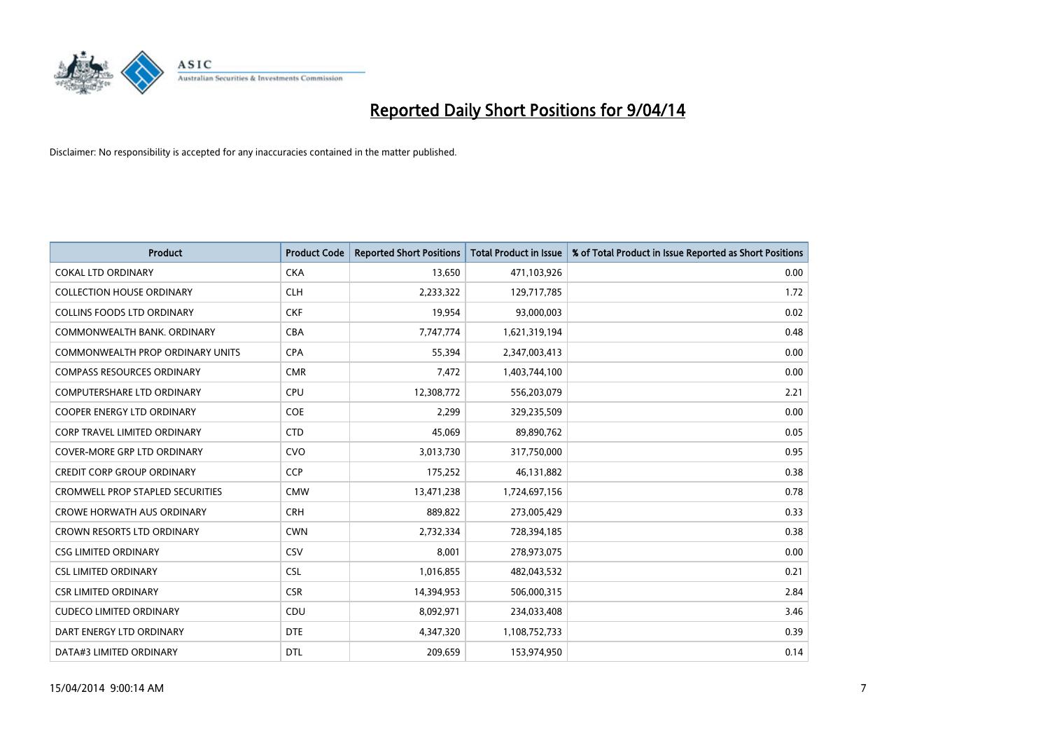

| <b>Product</b>                          | <b>Product Code</b> | <b>Reported Short Positions</b> | <b>Total Product in Issue</b> | % of Total Product in Issue Reported as Short Positions |
|-----------------------------------------|---------------------|---------------------------------|-------------------------------|---------------------------------------------------------|
| <b>COKAL LTD ORDINARY</b>               | <b>CKA</b>          | 13,650                          | 471,103,926                   | 0.00                                                    |
| <b>COLLECTION HOUSE ORDINARY</b>        | <b>CLH</b>          | 2,233,322                       | 129,717,785                   | 1.72                                                    |
| <b>COLLINS FOODS LTD ORDINARY</b>       | <b>CKF</b>          | 19,954                          | 93,000,003                    | 0.02                                                    |
| COMMONWEALTH BANK, ORDINARY             | <b>CBA</b>          | 7,747,774                       | 1,621,319,194                 | 0.48                                                    |
| COMMONWEALTH PROP ORDINARY UNITS        | <b>CPA</b>          | 55,394                          | 2,347,003,413                 | 0.00                                                    |
| <b>COMPASS RESOURCES ORDINARY</b>       | <b>CMR</b>          | 7,472                           | 1,403,744,100                 | 0.00                                                    |
| <b>COMPUTERSHARE LTD ORDINARY</b>       | <b>CPU</b>          | 12,308,772                      | 556,203,079                   | 2.21                                                    |
| COOPER ENERGY LTD ORDINARY              | <b>COE</b>          | 2,299                           | 329,235,509                   | 0.00                                                    |
| <b>CORP TRAVEL LIMITED ORDINARY</b>     | <b>CTD</b>          | 45,069                          | 89,890,762                    | 0.05                                                    |
| <b>COVER-MORE GRP LTD ORDINARY</b>      | <b>CVO</b>          | 3,013,730                       | 317,750,000                   | 0.95                                                    |
| <b>CREDIT CORP GROUP ORDINARY</b>       | <b>CCP</b>          | 175,252                         | 46,131,882                    | 0.38                                                    |
| <b>CROMWELL PROP STAPLED SECURITIES</b> | <b>CMW</b>          | 13,471,238                      | 1,724,697,156                 | 0.78                                                    |
| <b>CROWE HORWATH AUS ORDINARY</b>       | <b>CRH</b>          | 889,822                         | 273,005,429                   | 0.33                                                    |
| CROWN RESORTS LTD ORDINARY              | <b>CWN</b>          | 2,732,334                       | 728,394,185                   | 0.38                                                    |
| <b>CSG LIMITED ORDINARY</b>             | CSV                 | 8,001                           | 278,973,075                   | 0.00                                                    |
| <b>CSL LIMITED ORDINARY</b>             | <b>CSL</b>          | 1,016,855                       | 482,043,532                   | 0.21                                                    |
| <b>CSR LIMITED ORDINARY</b>             | <b>CSR</b>          | 14,394,953                      | 506,000,315                   | 2.84                                                    |
| <b>CUDECO LIMITED ORDINARY</b>          | CDU                 | 8,092,971                       | 234,033,408                   | 3.46                                                    |
| DART ENERGY LTD ORDINARY                | <b>DTE</b>          | 4,347,320                       | 1,108,752,733                 | 0.39                                                    |
| DATA#3 LIMITED ORDINARY                 | <b>DTL</b>          | 209,659                         | 153,974,950                   | 0.14                                                    |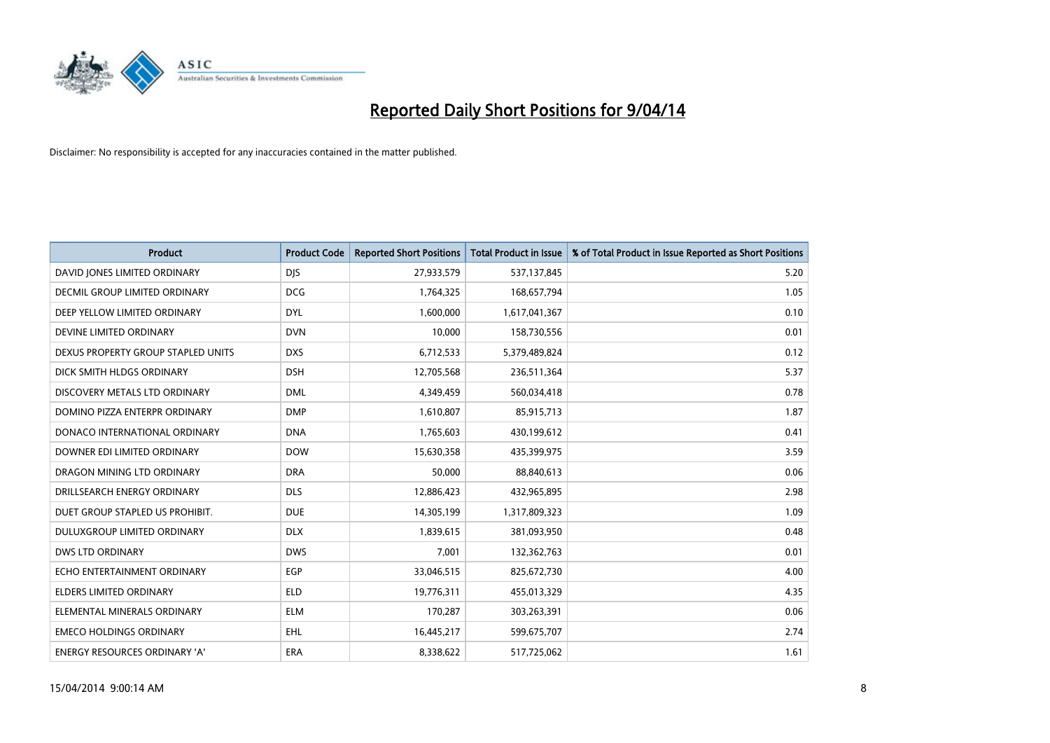

| <b>Product</b>                       | <b>Product Code</b> | <b>Reported Short Positions</b> | <b>Total Product in Issue</b> | % of Total Product in Issue Reported as Short Positions |
|--------------------------------------|---------------------|---------------------------------|-------------------------------|---------------------------------------------------------|
| DAVID JONES LIMITED ORDINARY         | <b>DJS</b>          | 27,933,579                      | 537,137,845                   | 5.20                                                    |
| <b>DECMIL GROUP LIMITED ORDINARY</b> | <b>DCG</b>          | 1,764,325                       | 168,657,794                   | 1.05                                                    |
| DEEP YELLOW LIMITED ORDINARY         | <b>DYL</b>          | 1,600,000                       | 1,617,041,367                 | 0.10                                                    |
| DEVINE LIMITED ORDINARY              | <b>DVN</b>          | 10,000                          | 158,730,556                   | 0.01                                                    |
| DEXUS PROPERTY GROUP STAPLED UNITS   | <b>DXS</b>          | 6,712,533                       | 5,379,489,824                 | 0.12                                                    |
| DICK SMITH HLDGS ORDINARY            | <b>DSH</b>          | 12,705,568                      | 236,511,364                   | 5.37                                                    |
| DISCOVERY METALS LTD ORDINARY        | <b>DML</b>          | 4,349,459                       | 560,034,418                   | 0.78                                                    |
| DOMINO PIZZA ENTERPR ORDINARY        | <b>DMP</b>          | 1,610,807                       | 85,915,713                    | 1.87                                                    |
| DONACO INTERNATIONAL ORDINARY        | <b>DNA</b>          | 1,765,603                       | 430,199,612                   | 0.41                                                    |
| DOWNER EDI LIMITED ORDINARY          | <b>DOW</b>          | 15,630,358                      | 435,399,975                   | 3.59                                                    |
| DRAGON MINING LTD ORDINARY           | <b>DRA</b>          | 50,000                          | 88,840,613                    | 0.06                                                    |
| DRILLSEARCH ENERGY ORDINARY          | <b>DLS</b>          | 12,886,423                      | 432,965,895                   | 2.98                                                    |
| DUET GROUP STAPLED US PROHIBIT.      | <b>DUE</b>          | 14,305,199                      | 1,317,809,323                 | 1.09                                                    |
| DULUXGROUP LIMITED ORDINARY          | <b>DLX</b>          | 1,839,615                       | 381,093,950                   | 0.48                                                    |
| <b>DWS LTD ORDINARY</b>              | <b>DWS</b>          | 7,001                           | 132,362,763                   | 0.01                                                    |
| ECHO ENTERTAINMENT ORDINARY          | EGP                 | 33,046,515                      | 825,672,730                   | 4.00                                                    |
| <b>ELDERS LIMITED ORDINARY</b>       | <b>ELD</b>          | 19,776,311                      | 455,013,329                   | 4.35                                                    |
| ELEMENTAL MINERALS ORDINARY          | <b>ELM</b>          | 170,287                         | 303,263,391                   | 0.06                                                    |
| <b>EMECO HOLDINGS ORDINARY</b>       | <b>EHL</b>          | 16,445,217                      | 599,675,707                   | 2.74                                                    |
| <b>ENERGY RESOURCES ORDINARY 'A'</b> | <b>ERA</b>          | 8,338,622                       | 517,725,062                   | 1.61                                                    |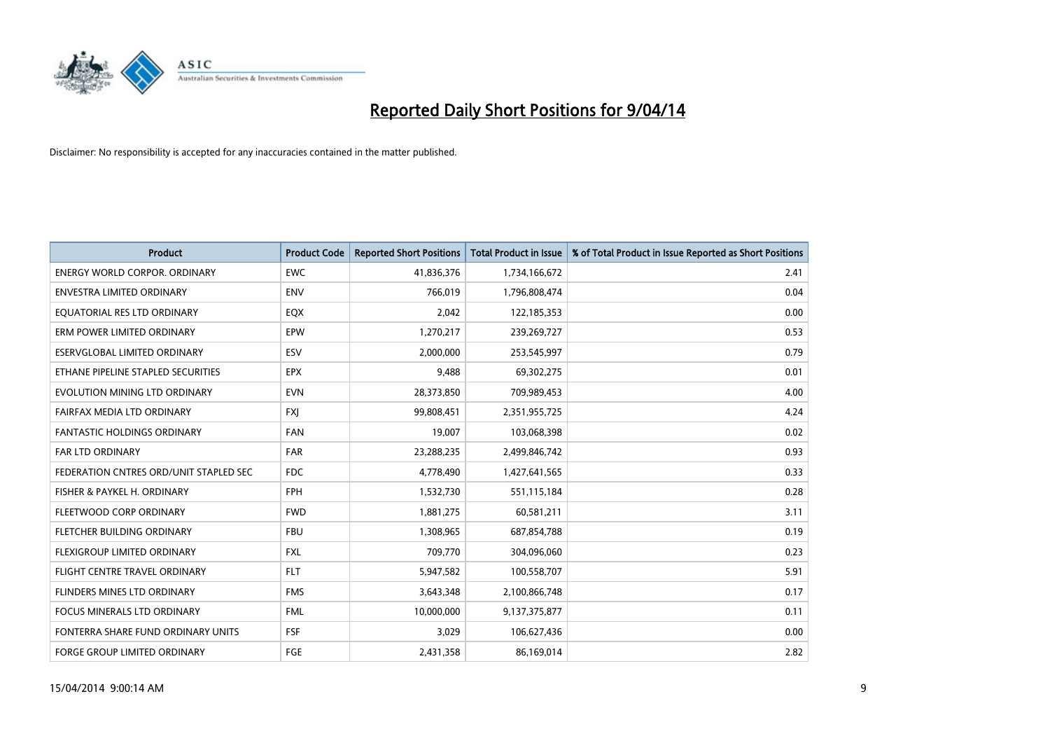

| <b>Product</b>                         | <b>Product Code</b> | <b>Reported Short Positions</b> | <b>Total Product in Issue</b> | % of Total Product in Issue Reported as Short Positions |
|----------------------------------------|---------------------|---------------------------------|-------------------------------|---------------------------------------------------------|
| <b>ENERGY WORLD CORPOR, ORDINARY</b>   | <b>EWC</b>          | 41,836,376                      | 1,734,166,672                 | 2.41                                                    |
| ENVESTRA LIMITED ORDINARY              | <b>ENV</b>          | 766,019                         | 1,796,808,474                 | 0.04                                                    |
| EQUATORIAL RES LTD ORDINARY            | EQX                 | 2,042                           | 122,185,353                   | 0.00                                                    |
| ERM POWER LIMITED ORDINARY             | EPW                 | 1,270,217                       | 239,269,727                   | 0.53                                                    |
| <b>ESERVGLOBAL LIMITED ORDINARY</b>    | ESV                 | 2,000,000                       | 253,545,997                   | 0.79                                                    |
| ETHANE PIPELINE STAPLED SECURITIES     | <b>EPX</b>          | 9,488                           | 69,302,275                    | 0.01                                                    |
| EVOLUTION MINING LTD ORDINARY          | <b>EVN</b>          | 28,373,850                      | 709,989,453                   | 4.00                                                    |
| FAIRFAX MEDIA LTD ORDINARY             | <b>FXJ</b>          | 99,808,451                      | 2,351,955,725                 | 4.24                                                    |
| FANTASTIC HOLDINGS ORDINARY            | <b>FAN</b>          | 19,007                          | 103,068,398                   | 0.02                                                    |
| <b>FAR LTD ORDINARY</b>                | <b>FAR</b>          | 23,288,235                      | 2,499,846,742                 | 0.93                                                    |
| FEDERATION CNTRES ORD/UNIT STAPLED SEC | <b>FDC</b>          | 4,778,490                       | 1,427,641,565                 | 0.33                                                    |
| FISHER & PAYKEL H. ORDINARY            | <b>FPH</b>          | 1,532,730                       | 551,115,184                   | 0.28                                                    |
| FLEETWOOD CORP ORDINARY                | <b>FWD</b>          | 1,881,275                       | 60,581,211                    | 3.11                                                    |
| FLETCHER BUILDING ORDINARY             | <b>FBU</b>          | 1,308,965                       | 687,854,788                   | 0.19                                                    |
| FLEXIGROUP LIMITED ORDINARY            | <b>FXL</b>          | 709,770                         | 304,096,060                   | 0.23                                                    |
| FLIGHT CENTRE TRAVEL ORDINARY          | <b>FLT</b>          | 5,947,582                       | 100,558,707                   | 5.91                                                    |
| FLINDERS MINES LTD ORDINARY            | <b>FMS</b>          | 3,643,348                       | 2,100,866,748                 | 0.17                                                    |
| FOCUS MINERALS LTD ORDINARY            | <b>FML</b>          | 10,000,000                      | 9,137,375,877                 | 0.11                                                    |
| FONTERRA SHARE FUND ORDINARY UNITS     | <b>FSF</b>          | 3,029                           | 106,627,436                   | 0.00                                                    |
| <b>FORGE GROUP LIMITED ORDINARY</b>    | FGE                 | 2,431,358                       | 86,169,014                    | 2.82                                                    |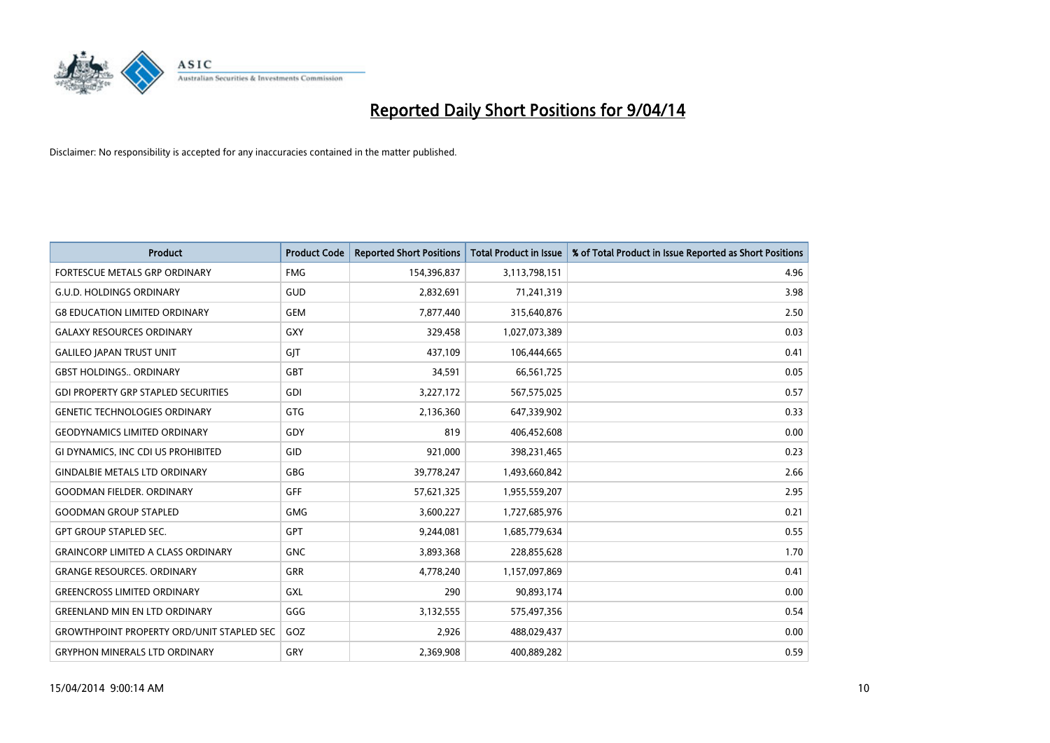

| <b>Product</b>                                   | <b>Product Code</b> | <b>Reported Short Positions</b> | <b>Total Product in Issue</b> | % of Total Product in Issue Reported as Short Positions |
|--------------------------------------------------|---------------------|---------------------------------|-------------------------------|---------------------------------------------------------|
| FORTESCUE METALS GRP ORDINARY                    | <b>FMG</b>          | 154,396,837                     | 3,113,798,151                 | 4.96                                                    |
| <b>G.U.D. HOLDINGS ORDINARY</b>                  | GUD                 | 2,832,691                       | 71,241,319                    | 3.98                                                    |
| <b>G8 EDUCATION LIMITED ORDINARY</b>             | <b>GEM</b>          | 7,877,440                       | 315,640,876                   | 2.50                                                    |
| <b>GALAXY RESOURCES ORDINARY</b>                 | GXY                 | 329,458                         | 1,027,073,389                 | 0.03                                                    |
| <b>GALILEO JAPAN TRUST UNIT</b>                  | GIT                 | 437,109                         | 106,444,665                   | 0.41                                                    |
| <b>GBST HOLDINGS., ORDINARY</b>                  | GBT                 | 34,591                          | 66,561,725                    | 0.05                                                    |
| <b>GDI PROPERTY GRP STAPLED SECURITIES</b>       | GDI                 | 3,227,172                       | 567,575,025                   | 0.57                                                    |
| <b>GENETIC TECHNOLOGIES ORDINARY</b>             | <b>GTG</b>          | 2,136,360                       | 647,339,902                   | 0.33                                                    |
| <b>GEODYNAMICS LIMITED ORDINARY</b>              | GDY                 | 819                             | 406,452,608                   | 0.00                                                    |
| GI DYNAMICS, INC CDI US PROHIBITED               | GID                 | 921,000                         | 398,231,465                   | 0.23                                                    |
| <b>GINDALBIE METALS LTD ORDINARY</b>             | GBG                 | 39,778,247                      | 1,493,660,842                 | 2.66                                                    |
| <b>GOODMAN FIELDER, ORDINARY</b>                 | <b>GFF</b>          | 57,621,325                      | 1,955,559,207                 | 2.95                                                    |
| <b>GOODMAN GROUP STAPLED</b>                     | <b>GMG</b>          | 3,600,227                       | 1,727,685,976                 | 0.21                                                    |
| <b>GPT GROUP STAPLED SEC.</b>                    | GPT                 | 9,244,081                       | 1,685,779,634                 | 0.55                                                    |
| <b>GRAINCORP LIMITED A CLASS ORDINARY</b>        | <b>GNC</b>          | 3,893,368                       | 228,855,628                   | 1.70                                                    |
| <b>GRANGE RESOURCES. ORDINARY</b>                | GRR                 | 4,778,240                       | 1,157,097,869                 | 0.41                                                    |
| <b>GREENCROSS LIMITED ORDINARY</b>               | GXL                 | 290                             | 90,893,174                    | 0.00                                                    |
| <b>GREENLAND MIN EN LTD ORDINARY</b>             | GGG                 | 3,132,555                       | 575,497,356                   | 0.54                                                    |
| <b>GROWTHPOINT PROPERTY ORD/UNIT STAPLED SEC</b> | GOZ                 | 2,926                           | 488,029,437                   | 0.00                                                    |
| <b>GRYPHON MINERALS LTD ORDINARY</b>             | GRY                 | 2,369,908                       | 400,889,282                   | 0.59                                                    |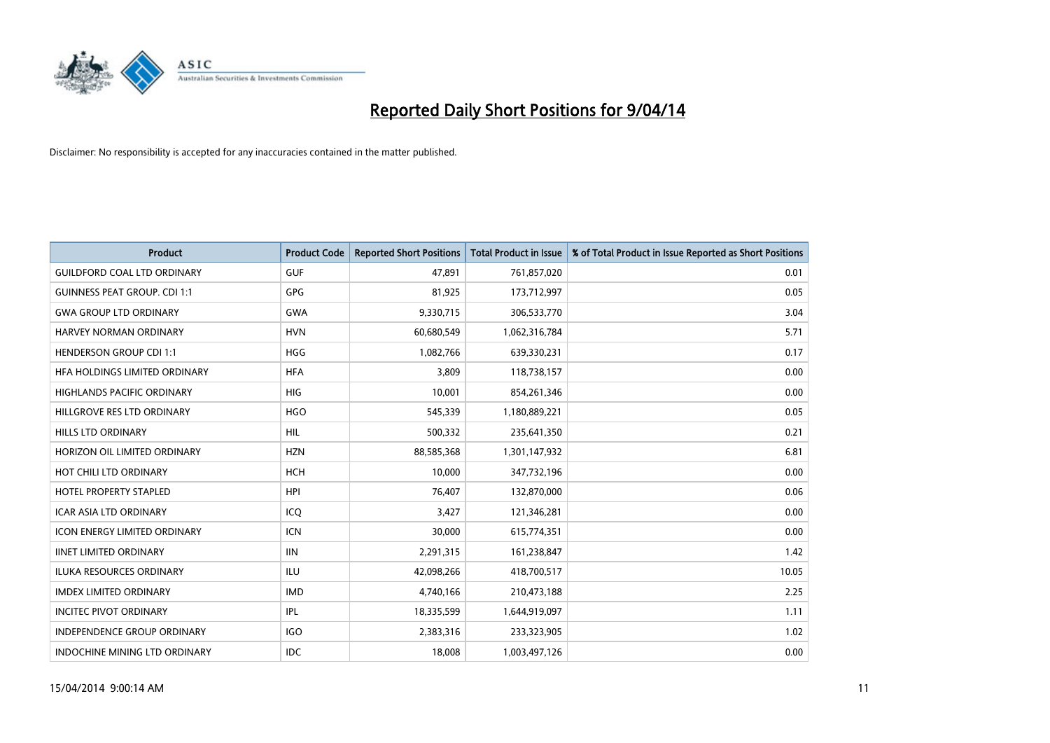

| <b>Product</b>                      | <b>Product Code</b> | <b>Reported Short Positions</b> | <b>Total Product in Issue</b> | % of Total Product in Issue Reported as Short Positions |
|-------------------------------------|---------------------|---------------------------------|-------------------------------|---------------------------------------------------------|
| <b>GUILDFORD COAL LTD ORDINARY</b>  | <b>GUF</b>          | 47,891                          | 761,857,020                   | 0.01                                                    |
| <b>GUINNESS PEAT GROUP. CDI 1:1</b> | GPG                 | 81,925                          | 173,712,997                   | 0.05                                                    |
| <b>GWA GROUP LTD ORDINARY</b>       | <b>GWA</b>          | 9,330,715                       | 306,533,770                   | 3.04                                                    |
| HARVEY NORMAN ORDINARY              | <b>HVN</b>          | 60,680,549                      | 1,062,316,784                 | 5.71                                                    |
| <b>HENDERSON GROUP CDI 1:1</b>      | <b>HGG</b>          | 1,082,766                       | 639,330,231                   | 0.17                                                    |
| HFA HOLDINGS LIMITED ORDINARY       | <b>HFA</b>          | 3,809                           | 118,738,157                   | 0.00                                                    |
| <b>HIGHLANDS PACIFIC ORDINARY</b>   | <b>HIG</b>          | 10,001                          | 854,261,346                   | 0.00                                                    |
| HILLGROVE RES LTD ORDINARY          | <b>HGO</b>          | 545,339                         | 1,180,889,221                 | 0.05                                                    |
| <b>HILLS LTD ORDINARY</b>           | <b>HIL</b>          | 500,332                         | 235,641,350                   | 0.21                                                    |
| HORIZON OIL LIMITED ORDINARY        | <b>HZN</b>          | 88,585,368                      | 1,301,147,932                 | 6.81                                                    |
| HOT CHILI LTD ORDINARY              | <b>HCH</b>          | 10,000                          | 347,732,196                   | 0.00                                                    |
| <b>HOTEL PROPERTY STAPLED</b>       | <b>HPI</b>          | 76,407                          | 132,870,000                   | 0.06                                                    |
| <b>ICAR ASIA LTD ORDINARY</b>       | ICO                 | 3,427                           | 121,346,281                   | 0.00                                                    |
| <b>ICON ENERGY LIMITED ORDINARY</b> | <b>ICN</b>          | 30,000                          | 615,774,351                   | 0.00                                                    |
| <b>IINET LIMITED ORDINARY</b>       | <b>IIN</b>          | 2,291,315                       | 161,238,847                   | 1.42                                                    |
| ILUKA RESOURCES ORDINARY            | ILU                 | 42,098,266                      | 418,700,517                   | 10.05                                                   |
| <b>IMDEX LIMITED ORDINARY</b>       | <b>IMD</b>          | 4,740,166                       | 210,473,188                   | 2.25                                                    |
| <b>INCITEC PIVOT ORDINARY</b>       | IPL                 | 18,335,599                      | 1,644,919,097                 | 1.11                                                    |
| <b>INDEPENDENCE GROUP ORDINARY</b>  | <b>IGO</b>          | 2,383,316                       | 233,323,905                   | 1.02                                                    |
| INDOCHINE MINING LTD ORDINARY       | <b>IDC</b>          | 18,008                          | 1,003,497,126                 | 0.00                                                    |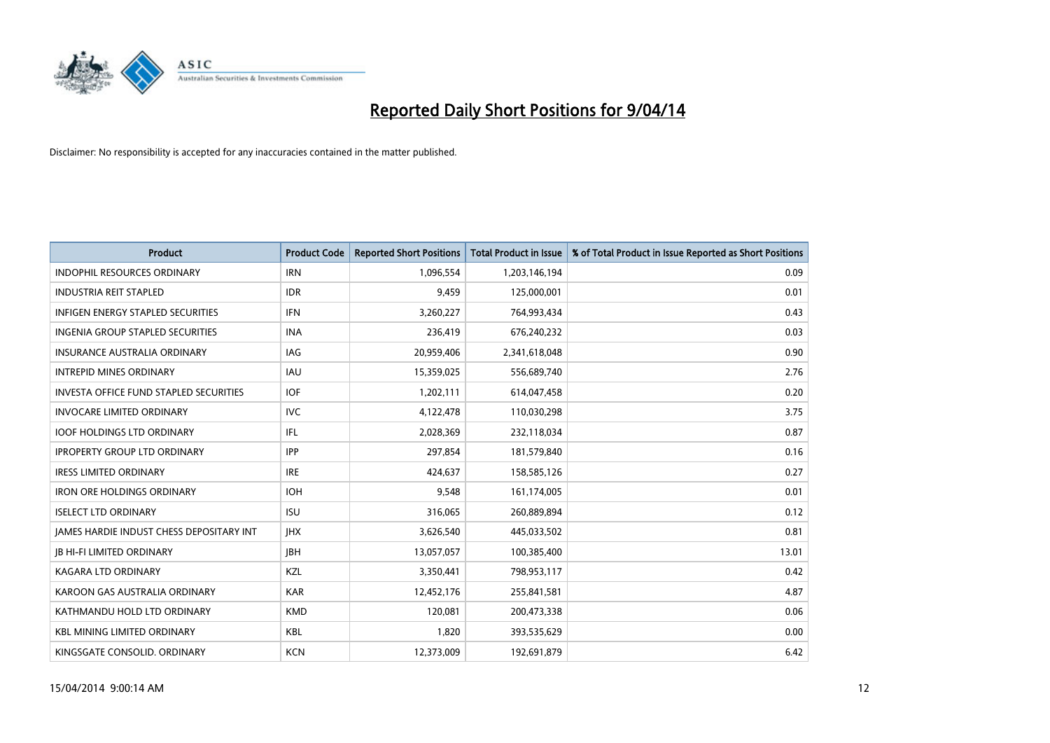

| <b>Product</b>                                  | <b>Product Code</b> | <b>Reported Short Positions</b> | <b>Total Product in Issue</b> | % of Total Product in Issue Reported as Short Positions |
|-------------------------------------------------|---------------------|---------------------------------|-------------------------------|---------------------------------------------------------|
| <b>INDOPHIL RESOURCES ORDINARY</b>              | <b>IRN</b>          | 1,096,554                       | 1,203,146,194                 | 0.09                                                    |
| <b>INDUSTRIA REIT STAPLED</b>                   | <b>IDR</b>          | 9,459                           | 125,000,001                   | 0.01                                                    |
| <b>INFIGEN ENERGY STAPLED SECURITIES</b>        | <b>IFN</b>          | 3,260,227                       | 764,993,434                   | 0.43                                                    |
| INGENIA GROUP STAPLED SECURITIES                | <b>INA</b>          | 236,419                         | 676,240,232                   | 0.03                                                    |
| <b>INSURANCE AUSTRALIA ORDINARY</b>             | IAG                 | 20,959,406                      | 2,341,618,048                 | 0.90                                                    |
| <b>INTREPID MINES ORDINARY</b>                  | <b>IAU</b>          | 15,359,025                      | 556,689,740                   | 2.76                                                    |
| <b>INVESTA OFFICE FUND STAPLED SECURITIES</b>   | <b>IOF</b>          | 1,202,111                       | 614,047,458                   | 0.20                                                    |
| <b>INVOCARE LIMITED ORDINARY</b>                | <b>IVC</b>          | 4,122,478                       | 110,030,298                   | 3.75                                                    |
| <b>IOOF HOLDINGS LTD ORDINARY</b>               | IFL                 | 2,028,369                       | 232,118,034                   | 0.87                                                    |
| <b>IPROPERTY GROUP LTD ORDINARY</b>             | <b>IPP</b>          | 297,854                         | 181,579,840                   | 0.16                                                    |
| <b>IRESS LIMITED ORDINARY</b>                   | <b>IRE</b>          | 424,637                         | 158,585,126                   | 0.27                                                    |
| <b>IRON ORE HOLDINGS ORDINARY</b>               | <b>IOH</b>          | 9,548                           | 161,174,005                   | 0.01                                                    |
| <b>ISELECT LTD ORDINARY</b>                     | <b>ISU</b>          | 316,065                         | 260,889,894                   | 0.12                                                    |
| <b>IAMES HARDIE INDUST CHESS DEPOSITARY INT</b> | <b>IHX</b>          | 3,626,540                       | 445,033,502                   | 0.81                                                    |
| <b>JB HI-FI LIMITED ORDINARY</b>                | <b>IBH</b>          | 13,057,057                      | 100,385,400                   | 13.01                                                   |
| <b>KAGARA LTD ORDINARY</b>                      | KZL                 | 3,350,441                       | 798,953,117                   | 0.42                                                    |
| KAROON GAS AUSTRALIA ORDINARY                   | <b>KAR</b>          | 12,452,176                      | 255,841,581                   | 4.87                                                    |
| KATHMANDU HOLD LTD ORDINARY                     | <b>KMD</b>          | 120,081                         | 200,473,338                   | 0.06                                                    |
| <b>KBL MINING LIMITED ORDINARY</b>              | <b>KBL</b>          | 1,820                           | 393,535,629                   | 0.00                                                    |
| KINGSGATE CONSOLID. ORDINARY                    | <b>KCN</b>          | 12,373,009                      | 192,691,879                   | 6.42                                                    |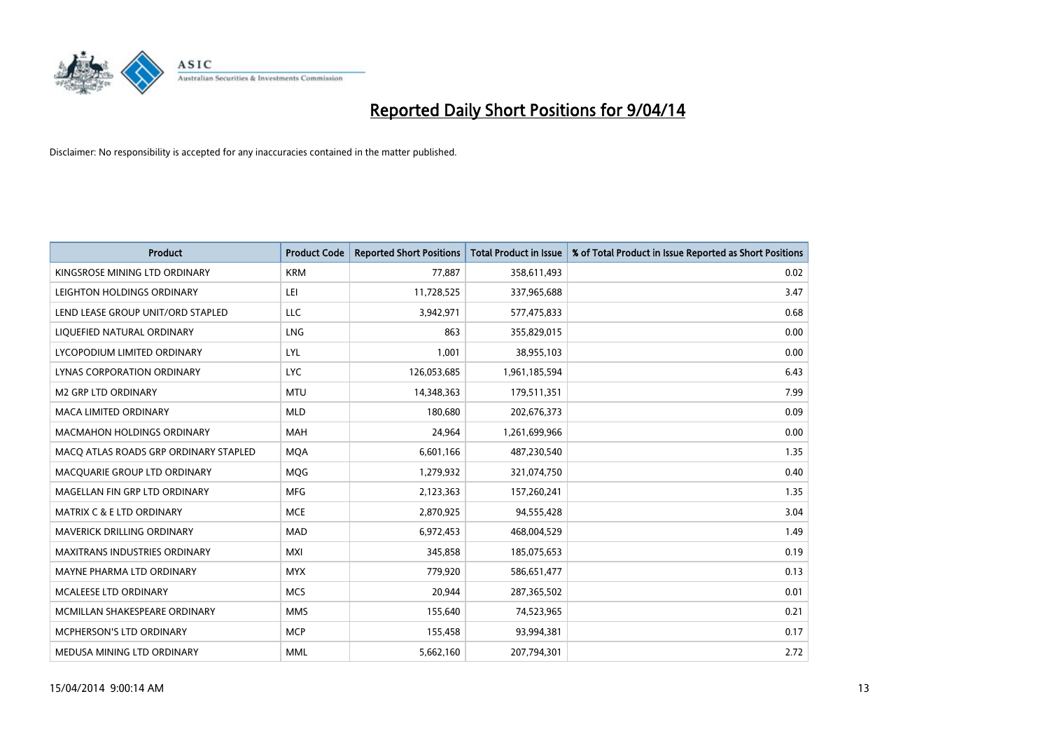

| <b>Product</b>                        | <b>Product Code</b> | <b>Reported Short Positions</b> | <b>Total Product in Issue</b> | % of Total Product in Issue Reported as Short Positions |
|---------------------------------------|---------------------|---------------------------------|-------------------------------|---------------------------------------------------------|
| KINGSROSE MINING LTD ORDINARY         | <b>KRM</b>          | 77,887                          | 358,611,493                   | 0.02                                                    |
| LEIGHTON HOLDINGS ORDINARY            | LEI                 | 11,728,525                      | 337,965,688                   | 3.47                                                    |
| LEND LEASE GROUP UNIT/ORD STAPLED     | <b>LLC</b>          | 3,942,971                       | 577,475,833                   | 0.68                                                    |
| LIQUEFIED NATURAL ORDINARY            | <b>LNG</b>          | 863                             | 355,829,015                   | 0.00                                                    |
| LYCOPODIUM LIMITED ORDINARY           | <b>LYL</b>          | 1,001                           | 38,955,103                    | 0.00                                                    |
| LYNAS CORPORATION ORDINARY            | <b>LYC</b>          | 126,053,685                     | 1,961,185,594                 | 6.43                                                    |
| <b>M2 GRP LTD ORDINARY</b>            | <b>MTU</b>          | 14,348,363                      | 179,511,351                   | 7.99                                                    |
| MACA LIMITED ORDINARY                 | <b>MLD</b>          | 180,680                         | 202,676,373                   | 0.09                                                    |
| <b>MACMAHON HOLDINGS ORDINARY</b>     | <b>MAH</b>          | 24,964                          | 1,261,699,966                 | 0.00                                                    |
| MACO ATLAS ROADS GRP ORDINARY STAPLED | <b>MOA</b>          | 6,601,166                       | 487,230,540                   | 1.35                                                    |
| MACQUARIE GROUP LTD ORDINARY          | MQG                 | 1,279,932                       | 321,074,750                   | 0.40                                                    |
| MAGELLAN FIN GRP LTD ORDINARY         | <b>MFG</b>          | 2,123,363                       | 157,260,241                   | 1.35                                                    |
| <b>MATRIX C &amp; E LTD ORDINARY</b>  | <b>MCE</b>          | 2,870,925                       | 94,555,428                    | 3.04                                                    |
| MAVERICK DRILLING ORDINARY            | <b>MAD</b>          | 6,972,453                       | 468,004,529                   | 1.49                                                    |
| <b>MAXITRANS INDUSTRIES ORDINARY</b>  | <b>MXI</b>          | 345,858                         | 185,075,653                   | 0.19                                                    |
| MAYNE PHARMA LTD ORDINARY             | <b>MYX</b>          | 779,920                         | 586,651,477                   | 0.13                                                    |
| MCALEESE LTD ORDINARY                 | <b>MCS</b>          | 20,944                          | 287,365,502                   | 0.01                                                    |
| MCMILLAN SHAKESPEARE ORDINARY         | <b>MMS</b>          | 155,640                         | 74,523,965                    | 0.21                                                    |
| MCPHERSON'S LTD ORDINARY              | <b>MCP</b>          | 155,458                         | 93,994,381                    | 0.17                                                    |
| MEDUSA MINING LTD ORDINARY            | <b>MML</b>          | 5,662,160                       | 207,794,301                   | 2.72                                                    |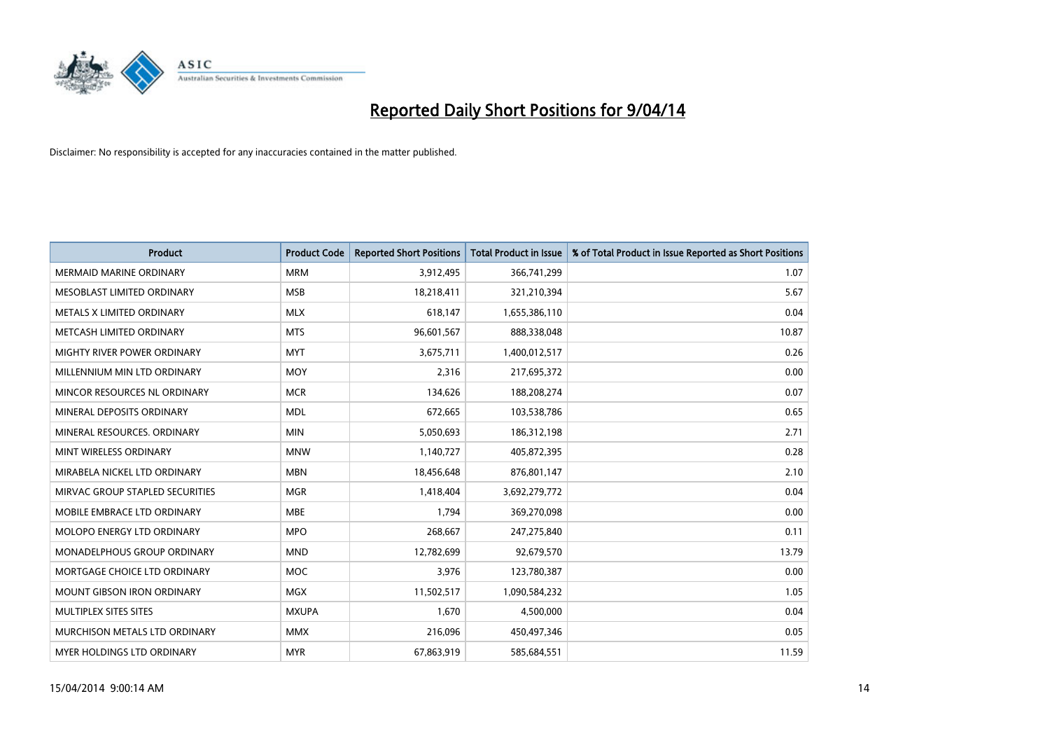

| <b>Product</b>                  | <b>Product Code</b> | <b>Reported Short Positions</b> | <b>Total Product in Issue</b> | % of Total Product in Issue Reported as Short Positions |
|---------------------------------|---------------------|---------------------------------|-------------------------------|---------------------------------------------------------|
| <b>MERMAID MARINE ORDINARY</b>  | <b>MRM</b>          | 3,912,495                       | 366,741,299                   | 1.07                                                    |
| MESOBLAST LIMITED ORDINARY      | <b>MSB</b>          | 18,218,411                      | 321,210,394                   | 5.67                                                    |
| METALS X LIMITED ORDINARY       | <b>MLX</b>          | 618.147                         | 1,655,386,110                 | 0.04                                                    |
| METCASH LIMITED ORDINARY        | <b>MTS</b>          | 96,601,567                      | 888,338,048                   | 10.87                                                   |
| MIGHTY RIVER POWER ORDINARY     | <b>MYT</b>          | 3,675,711                       | 1,400,012,517                 | 0.26                                                    |
| MILLENNIUM MIN LTD ORDINARY     | <b>MOY</b>          | 2,316                           | 217,695,372                   | 0.00                                                    |
| MINCOR RESOURCES NL ORDINARY    | <b>MCR</b>          | 134,626                         | 188,208,274                   | 0.07                                                    |
| MINERAL DEPOSITS ORDINARY       | <b>MDL</b>          | 672,665                         | 103,538,786                   | 0.65                                                    |
| MINERAL RESOURCES, ORDINARY     | <b>MIN</b>          | 5,050,693                       | 186,312,198                   | 2.71                                                    |
| MINT WIRELESS ORDINARY          | <b>MNW</b>          | 1,140,727                       | 405,872,395                   | 0.28                                                    |
| MIRABELA NICKEL LTD ORDINARY    | <b>MBN</b>          | 18,456,648                      | 876,801,147                   | 2.10                                                    |
| MIRVAC GROUP STAPLED SECURITIES | <b>MGR</b>          | 1,418,404                       | 3,692,279,772                 | 0.04                                                    |
| MOBILE EMBRACE LTD ORDINARY     | <b>MBE</b>          | 1,794                           | 369,270,098                   | 0.00                                                    |
| MOLOPO ENERGY LTD ORDINARY      | <b>MPO</b>          | 268,667                         | 247,275,840                   | 0.11                                                    |
| MONADELPHOUS GROUP ORDINARY     | <b>MND</b>          | 12,782,699                      | 92,679,570                    | 13.79                                                   |
| MORTGAGE CHOICE LTD ORDINARY    | MOC                 | 3,976                           | 123,780,387                   | 0.00                                                    |
| MOUNT GIBSON IRON ORDINARY      | <b>MGX</b>          | 11,502,517                      | 1,090,584,232                 | 1.05                                                    |
| MULTIPLEX SITES SITES           | <b>MXUPA</b>        | 1,670                           | 4,500,000                     | 0.04                                                    |
| MURCHISON METALS LTD ORDINARY   | <b>MMX</b>          | 216,096                         | 450,497,346                   | 0.05                                                    |
| MYER HOLDINGS LTD ORDINARY      | <b>MYR</b>          | 67,863,919                      | 585,684,551                   | 11.59                                                   |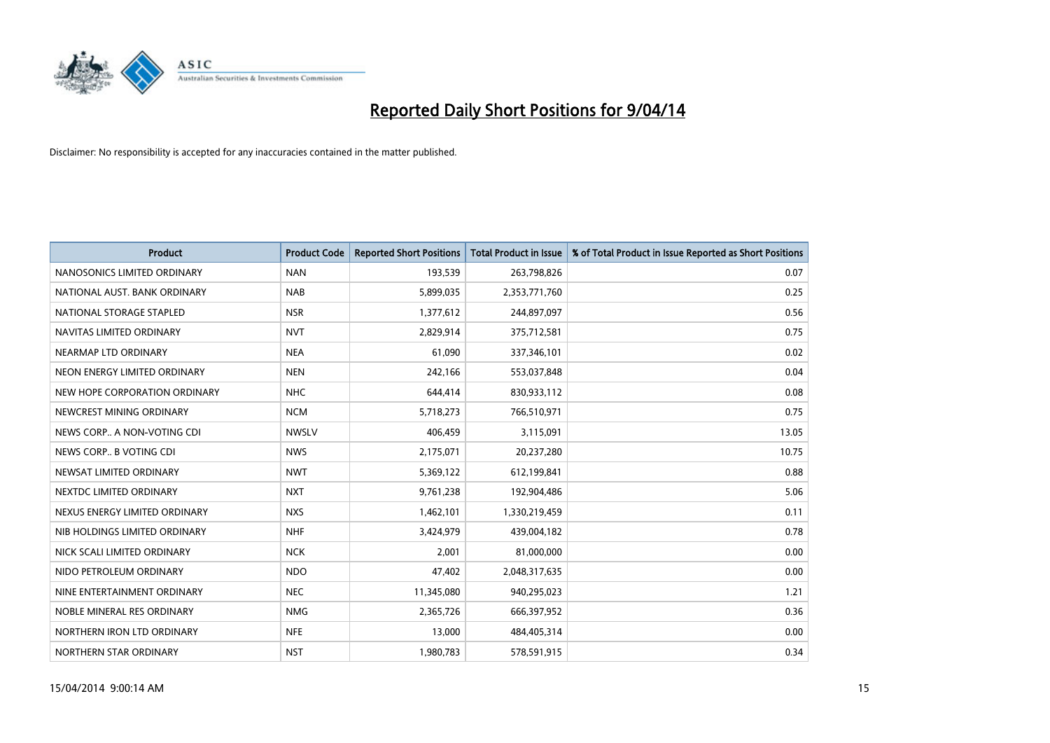

| <b>Product</b>                | <b>Product Code</b> | <b>Reported Short Positions</b> | <b>Total Product in Issue</b> | % of Total Product in Issue Reported as Short Positions |
|-------------------------------|---------------------|---------------------------------|-------------------------------|---------------------------------------------------------|
| NANOSONICS LIMITED ORDINARY   | <b>NAN</b>          | 193,539                         | 263,798,826                   | 0.07                                                    |
| NATIONAL AUST. BANK ORDINARY  | <b>NAB</b>          | 5,899,035                       | 2,353,771,760                 | 0.25                                                    |
| NATIONAL STORAGE STAPLED      | <b>NSR</b>          | 1,377,612                       | 244,897,097                   | 0.56                                                    |
| NAVITAS LIMITED ORDINARY      | <b>NVT</b>          | 2,829,914                       | 375,712,581                   | 0.75                                                    |
| NEARMAP LTD ORDINARY          | <b>NEA</b>          | 61,090                          | 337,346,101                   | 0.02                                                    |
| NEON ENERGY LIMITED ORDINARY  | <b>NEN</b>          | 242,166                         | 553,037,848                   | 0.04                                                    |
| NEW HOPE CORPORATION ORDINARY | <b>NHC</b>          | 644,414                         | 830,933,112                   | 0.08                                                    |
| NEWCREST MINING ORDINARY      | <b>NCM</b>          | 5,718,273                       | 766,510,971                   | 0.75                                                    |
| NEWS CORP A NON-VOTING CDI    | <b>NWSLV</b>        | 406,459                         | 3,115,091                     | 13.05                                                   |
| NEWS CORP B VOTING CDI        | <b>NWS</b>          | 2,175,071                       | 20,237,280                    | 10.75                                                   |
| NEWSAT LIMITED ORDINARY       | <b>NWT</b>          | 5,369,122                       | 612,199,841                   | 0.88                                                    |
| NEXTDC LIMITED ORDINARY       | <b>NXT</b>          | 9,761,238                       | 192,904,486                   | 5.06                                                    |
| NEXUS ENERGY LIMITED ORDINARY | <b>NXS</b>          | 1,462,101                       | 1,330,219,459                 | 0.11                                                    |
| NIB HOLDINGS LIMITED ORDINARY | <b>NHF</b>          | 3,424,979                       | 439,004,182                   | 0.78                                                    |
| NICK SCALI LIMITED ORDINARY   | <b>NCK</b>          | 2,001                           | 81,000,000                    | 0.00                                                    |
| NIDO PETROLEUM ORDINARY       | <b>NDO</b>          | 47,402                          | 2,048,317,635                 | 0.00                                                    |
| NINE ENTERTAINMENT ORDINARY   | <b>NEC</b>          | 11,345,080                      | 940,295,023                   | 1.21                                                    |
| NOBLE MINERAL RES ORDINARY    | <b>NMG</b>          | 2,365,726                       | 666,397,952                   | 0.36                                                    |
| NORTHERN IRON LTD ORDINARY    | <b>NFE</b>          | 13,000                          | 484,405,314                   | 0.00                                                    |
| NORTHERN STAR ORDINARY        | <b>NST</b>          | 1,980,783                       | 578,591,915                   | 0.34                                                    |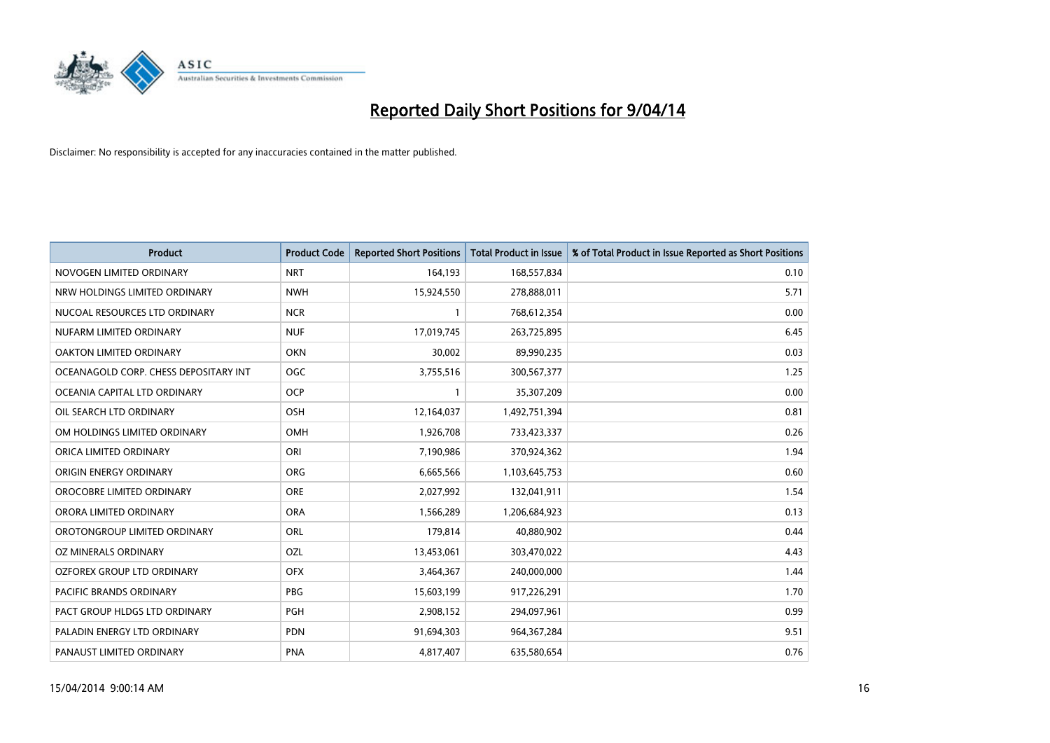

| <b>Product</b>                        | <b>Product Code</b> | <b>Reported Short Positions</b> | <b>Total Product in Issue</b> | % of Total Product in Issue Reported as Short Positions |
|---------------------------------------|---------------------|---------------------------------|-------------------------------|---------------------------------------------------------|
| NOVOGEN LIMITED ORDINARY              | <b>NRT</b>          | 164,193                         | 168,557,834                   | 0.10                                                    |
| NRW HOLDINGS LIMITED ORDINARY         | <b>NWH</b>          | 15,924,550                      | 278,888,011                   | 5.71                                                    |
| NUCOAL RESOURCES LTD ORDINARY         | <b>NCR</b>          | 1                               | 768,612,354                   | 0.00                                                    |
| NUFARM LIMITED ORDINARY               | <b>NUF</b>          | 17,019,745                      | 263,725,895                   | 6.45                                                    |
| <b>OAKTON LIMITED ORDINARY</b>        | <b>OKN</b>          | 30,002                          | 89,990,235                    | 0.03                                                    |
| OCEANAGOLD CORP. CHESS DEPOSITARY INT | OGC                 | 3,755,516                       | 300,567,377                   | 1.25                                                    |
| OCEANIA CAPITAL LTD ORDINARY          | <b>OCP</b>          | 1                               | 35,307,209                    | 0.00                                                    |
| OIL SEARCH LTD ORDINARY               | OSH                 | 12,164,037                      | 1,492,751,394                 | 0.81                                                    |
| OM HOLDINGS LIMITED ORDINARY          | OMH                 | 1,926,708                       | 733,423,337                   | 0.26                                                    |
| ORICA LIMITED ORDINARY                | ORI                 | 7,190,986                       | 370,924,362                   | 1.94                                                    |
| ORIGIN ENERGY ORDINARY                | <b>ORG</b>          | 6,665,566                       | 1,103,645,753                 | 0.60                                                    |
| OROCOBRE LIMITED ORDINARY             | <b>ORE</b>          | 2,027,992                       | 132,041,911                   | 1.54                                                    |
| ORORA LIMITED ORDINARY                | <b>ORA</b>          | 1,566,289                       | 1,206,684,923                 | 0.13                                                    |
| OROTONGROUP LIMITED ORDINARY          | ORL                 | 179,814                         | 40,880,902                    | 0.44                                                    |
| <b>OZ MINERALS ORDINARY</b>           | OZL                 | 13,453,061                      | 303,470,022                   | 4.43                                                    |
| OZFOREX GROUP LTD ORDINARY            | <b>OFX</b>          | 3,464,367                       | 240,000,000                   | 1.44                                                    |
| <b>PACIFIC BRANDS ORDINARY</b>        | PBG                 | 15,603,199                      | 917,226,291                   | 1.70                                                    |
| PACT GROUP HLDGS LTD ORDINARY         | <b>PGH</b>          | 2,908,152                       | 294,097,961                   | 0.99                                                    |
| PALADIN ENERGY LTD ORDINARY           | <b>PDN</b>          | 91,694,303                      | 964, 367, 284                 | 9.51                                                    |
| PANAUST LIMITED ORDINARY              | <b>PNA</b>          | 4,817,407                       | 635,580,654                   | 0.76                                                    |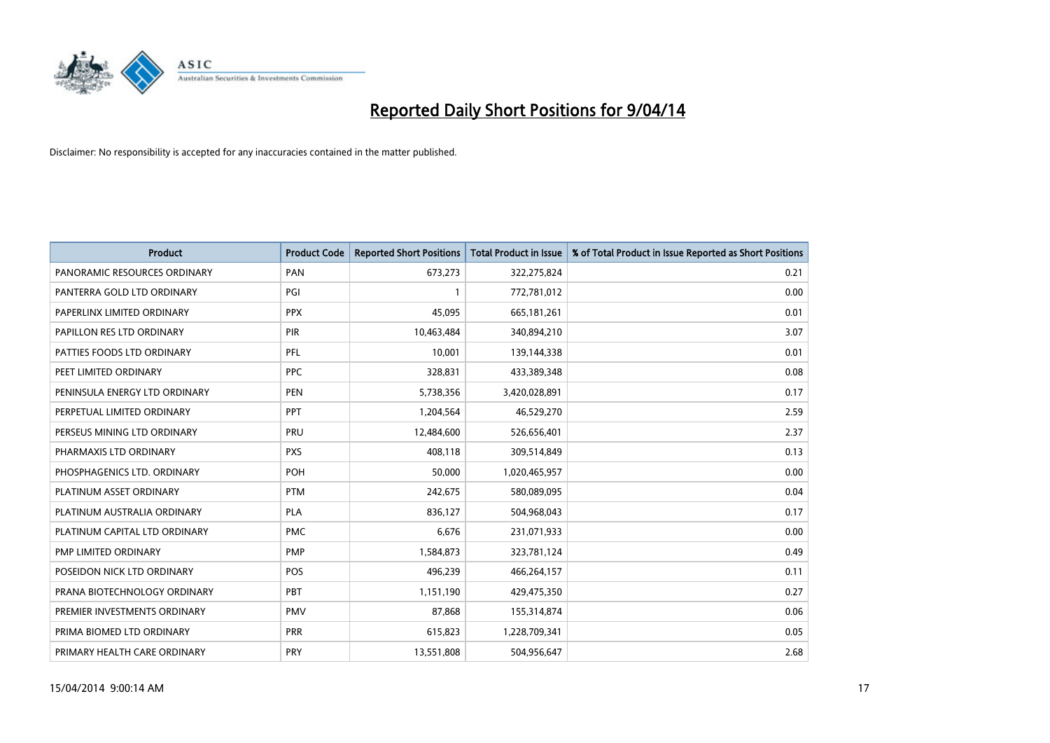

| <b>Product</b>                | <b>Product Code</b> | <b>Reported Short Positions</b> | <b>Total Product in Issue</b> | % of Total Product in Issue Reported as Short Positions |
|-------------------------------|---------------------|---------------------------------|-------------------------------|---------------------------------------------------------|
| PANORAMIC RESOURCES ORDINARY  | PAN                 | 673,273                         | 322,275,824                   | 0.21                                                    |
| PANTERRA GOLD LTD ORDINARY    | PGI                 |                                 | 772,781,012                   | 0.00                                                    |
| PAPERLINX LIMITED ORDINARY    | <b>PPX</b>          | 45,095                          | 665, 181, 261                 | 0.01                                                    |
| PAPILLON RES LTD ORDINARY     | <b>PIR</b>          | 10,463,484                      | 340,894,210                   | 3.07                                                    |
| PATTIES FOODS LTD ORDINARY    | PFL                 | 10,001                          | 139,144,338                   | 0.01                                                    |
| PEET LIMITED ORDINARY         | <b>PPC</b>          | 328,831                         | 433,389,348                   | 0.08                                                    |
| PENINSULA ENERGY LTD ORDINARY | <b>PEN</b>          | 5,738,356                       | 3,420,028,891                 | 0.17                                                    |
| PERPETUAL LIMITED ORDINARY    | PPT                 | 1,204,564                       | 46,529,270                    | 2.59                                                    |
| PERSEUS MINING LTD ORDINARY   | PRU                 | 12,484,600                      | 526,656,401                   | 2.37                                                    |
| PHARMAXIS LTD ORDINARY        | <b>PXS</b>          | 408,118                         | 309,514,849                   | 0.13                                                    |
| PHOSPHAGENICS LTD. ORDINARY   | <b>POH</b>          | 50,000                          | 1,020,465,957                 | 0.00                                                    |
| PLATINUM ASSET ORDINARY       | <b>PTM</b>          | 242,675                         | 580,089,095                   | 0.04                                                    |
| PLATINUM AUSTRALIA ORDINARY   | <b>PLA</b>          | 836,127                         | 504,968,043                   | 0.17                                                    |
| PLATINUM CAPITAL LTD ORDINARY | <b>PMC</b>          | 6,676                           | 231,071,933                   | 0.00                                                    |
| PMP LIMITED ORDINARY          | <b>PMP</b>          | 1,584,873                       | 323,781,124                   | 0.49                                                    |
| POSEIDON NICK LTD ORDINARY    | <b>POS</b>          | 496,239                         | 466,264,157                   | 0.11                                                    |
| PRANA BIOTECHNOLOGY ORDINARY  | <b>PBT</b>          | 1,151,190                       | 429,475,350                   | 0.27                                                    |
| PREMIER INVESTMENTS ORDINARY  | <b>PMV</b>          | 87,868                          | 155,314,874                   | 0.06                                                    |
| PRIMA BIOMED LTD ORDINARY     | <b>PRR</b>          | 615,823                         | 1,228,709,341                 | 0.05                                                    |
| PRIMARY HEALTH CARE ORDINARY  | PRY                 | 13,551,808                      | 504,956,647                   | 2.68                                                    |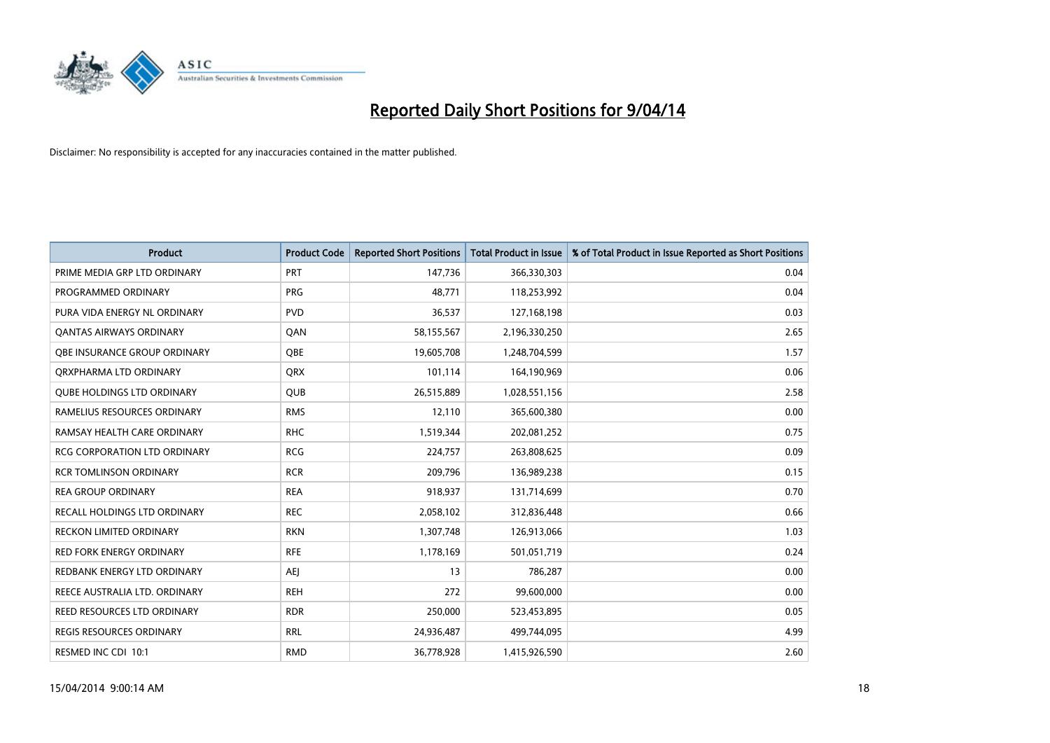

| <b>Product</b>                      | <b>Product Code</b> | <b>Reported Short Positions</b> | <b>Total Product in Issue</b> | % of Total Product in Issue Reported as Short Positions |
|-------------------------------------|---------------------|---------------------------------|-------------------------------|---------------------------------------------------------|
| PRIME MEDIA GRP LTD ORDINARY        | <b>PRT</b>          | 147,736                         | 366,330,303                   | 0.04                                                    |
| PROGRAMMED ORDINARY                 | <b>PRG</b>          | 48,771                          | 118,253,992                   | 0.04                                                    |
| PURA VIDA ENERGY NL ORDINARY        | <b>PVD</b>          | 36,537                          | 127,168,198                   | 0.03                                                    |
| <b>QANTAS AIRWAYS ORDINARY</b>      | QAN                 | 58,155,567                      | 2,196,330,250                 | 2.65                                                    |
| OBE INSURANCE GROUP ORDINARY        | <b>OBE</b>          | 19,605,708                      | 1,248,704,599                 | 1.57                                                    |
| ORXPHARMA LTD ORDINARY              | <b>QRX</b>          | 101,114                         | 164,190,969                   | 0.06                                                    |
| <b>QUBE HOLDINGS LTD ORDINARY</b>   | <b>QUB</b>          | 26,515,889                      | 1,028,551,156                 | 2.58                                                    |
| RAMELIUS RESOURCES ORDINARY         | <b>RMS</b>          | 12,110                          | 365,600,380                   | 0.00                                                    |
| RAMSAY HEALTH CARE ORDINARY         | <b>RHC</b>          | 1,519,344                       | 202,081,252                   | 0.75                                                    |
| <b>RCG CORPORATION LTD ORDINARY</b> | <b>RCG</b>          | 224,757                         | 263,808,625                   | 0.09                                                    |
| <b>RCR TOMLINSON ORDINARY</b>       | <b>RCR</b>          | 209,796                         | 136,989,238                   | 0.15                                                    |
| <b>REA GROUP ORDINARY</b>           | <b>REA</b>          | 918,937                         | 131,714,699                   | 0.70                                                    |
| RECALL HOLDINGS LTD ORDINARY        | <b>REC</b>          | 2,058,102                       | 312,836,448                   | 0.66                                                    |
| <b>RECKON LIMITED ORDINARY</b>      | <b>RKN</b>          | 1,307,748                       | 126,913,066                   | 1.03                                                    |
| <b>RED FORK ENERGY ORDINARY</b>     | <b>RFE</b>          | 1,178,169                       | 501,051,719                   | 0.24                                                    |
| REDBANK ENERGY LTD ORDINARY         | <b>AEI</b>          | 13                              | 786,287                       | 0.00                                                    |
| REECE AUSTRALIA LTD. ORDINARY       | <b>REH</b>          | 272                             | 99,600,000                    | 0.00                                                    |
| REED RESOURCES LTD ORDINARY         | <b>RDR</b>          | 250,000                         | 523,453,895                   | 0.05                                                    |
| <b>REGIS RESOURCES ORDINARY</b>     | <b>RRL</b>          | 24,936,487                      | 499,744,095                   | 4.99                                                    |
| RESMED INC CDI 10:1                 | <b>RMD</b>          | 36,778,928                      | 1,415,926,590                 | 2.60                                                    |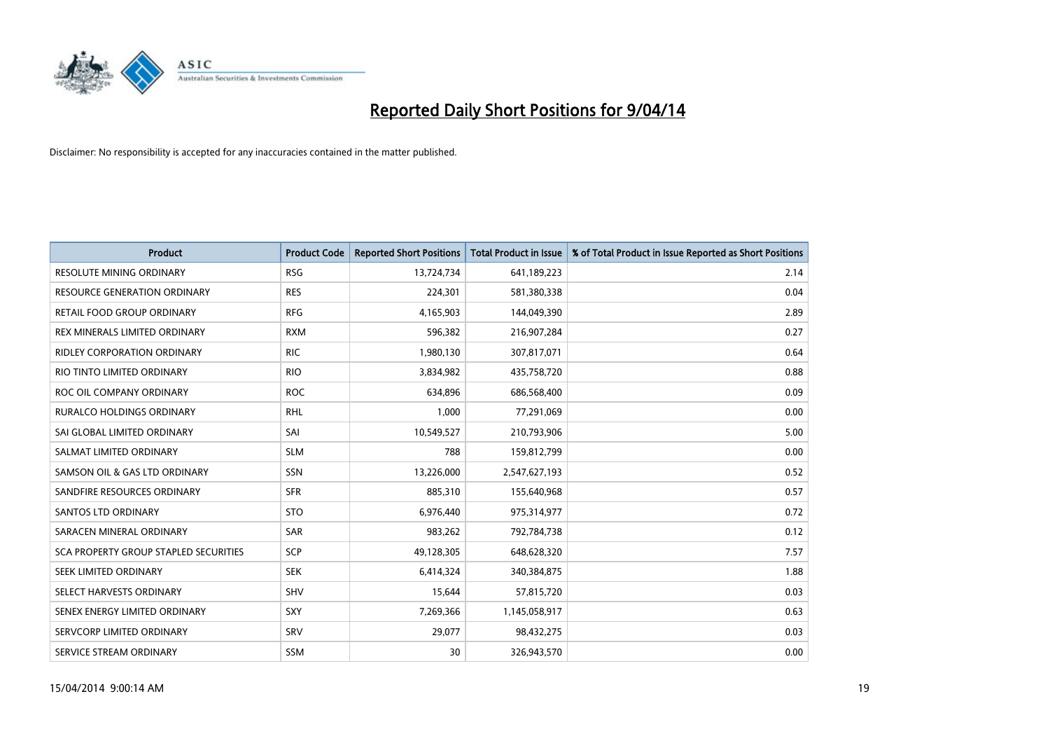

| <b>Product</b>                               | <b>Product Code</b> | <b>Reported Short Positions</b> | <b>Total Product in Issue</b> | % of Total Product in Issue Reported as Short Positions |
|----------------------------------------------|---------------------|---------------------------------|-------------------------------|---------------------------------------------------------|
| <b>RESOLUTE MINING ORDINARY</b>              | <b>RSG</b>          | 13,724,734                      | 641,189,223                   | 2.14                                                    |
| <b>RESOURCE GENERATION ORDINARY</b>          | <b>RES</b>          | 224,301                         | 581,380,338                   | 0.04                                                    |
| RETAIL FOOD GROUP ORDINARY                   | <b>RFG</b>          | 4,165,903                       | 144,049,390                   | 2.89                                                    |
| REX MINERALS LIMITED ORDINARY                | <b>RXM</b>          | 596,382                         | 216,907,284                   | 0.27                                                    |
| <b>RIDLEY CORPORATION ORDINARY</b>           | <b>RIC</b>          | 1,980,130                       | 307,817,071                   | 0.64                                                    |
| RIO TINTO LIMITED ORDINARY                   | <b>RIO</b>          | 3,834,982                       | 435,758,720                   | 0.88                                                    |
| ROC OIL COMPANY ORDINARY                     | <b>ROC</b>          | 634,896                         | 686,568,400                   | 0.09                                                    |
| <b>RURALCO HOLDINGS ORDINARY</b>             | <b>RHL</b>          | 1,000                           | 77,291,069                    | 0.00                                                    |
| SAI GLOBAL LIMITED ORDINARY                  | SAI                 | 10,549,527                      | 210,793,906                   | 5.00                                                    |
| SALMAT LIMITED ORDINARY                      | <b>SLM</b>          | 788                             | 159,812,799                   | 0.00                                                    |
| SAMSON OIL & GAS LTD ORDINARY                | SSN                 | 13,226,000                      | 2,547,627,193                 | 0.52                                                    |
| SANDFIRE RESOURCES ORDINARY                  | <b>SFR</b>          | 885,310                         | 155,640,968                   | 0.57                                                    |
| SANTOS LTD ORDINARY                          | <b>STO</b>          | 6,976,440                       | 975,314,977                   | 0.72                                                    |
| SARACEN MINERAL ORDINARY                     | SAR                 | 983,262                         | 792,784,738                   | 0.12                                                    |
| <b>SCA PROPERTY GROUP STAPLED SECURITIES</b> | SCP                 | 49,128,305                      | 648,628,320                   | 7.57                                                    |
| SEEK LIMITED ORDINARY                        | <b>SEK</b>          | 6,414,324                       | 340,384,875                   | 1.88                                                    |
| SELECT HARVESTS ORDINARY                     | SHV                 | 15,644                          | 57,815,720                    | 0.03                                                    |
| SENEX ENERGY LIMITED ORDINARY                | <b>SXY</b>          | 7,269,366                       | 1,145,058,917                 | 0.63                                                    |
| SERVCORP LIMITED ORDINARY                    | SRV                 | 29,077                          | 98,432,275                    | 0.03                                                    |
| SERVICE STREAM ORDINARY                      | SSM                 | 30                              | 326,943,570                   | 0.00                                                    |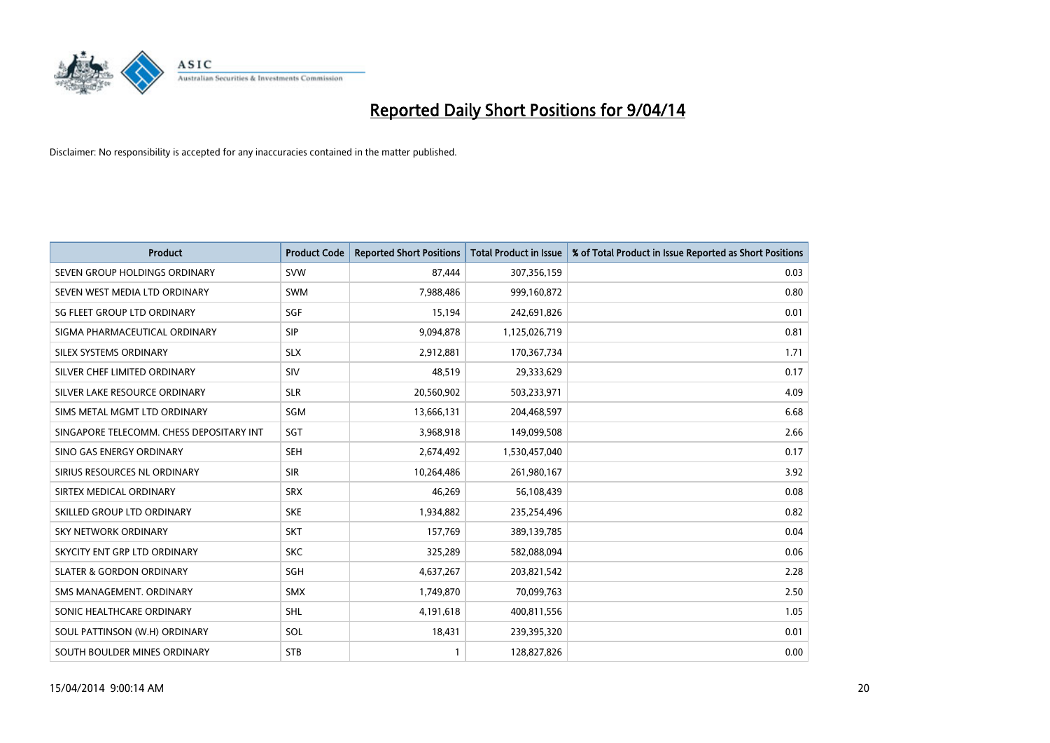

| <b>Product</b>                           | <b>Product Code</b> | <b>Reported Short Positions</b> | <b>Total Product in Issue</b> | % of Total Product in Issue Reported as Short Positions |
|------------------------------------------|---------------------|---------------------------------|-------------------------------|---------------------------------------------------------|
| SEVEN GROUP HOLDINGS ORDINARY            | <b>SVW</b>          | 87,444                          | 307,356,159                   | 0.03                                                    |
| SEVEN WEST MEDIA LTD ORDINARY            | <b>SWM</b>          | 7,988,486                       | 999,160,872                   | 0.80                                                    |
| SG FLEET GROUP LTD ORDINARY              | SGF                 | 15,194                          | 242,691,826                   | 0.01                                                    |
| SIGMA PHARMACEUTICAL ORDINARY            | <b>SIP</b>          | 9,094,878                       | 1,125,026,719                 | 0.81                                                    |
| SILEX SYSTEMS ORDINARY                   | <b>SLX</b>          | 2,912,881                       | 170,367,734                   | 1.71                                                    |
| SILVER CHEF LIMITED ORDINARY             | <b>SIV</b>          | 48,519                          | 29,333,629                    | 0.17                                                    |
| SILVER LAKE RESOURCE ORDINARY            | <b>SLR</b>          | 20,560,902                      | 503,233,971                   | 4.09                                                    |
| SIMS METAL MGMT LTD ORDINARY             | SGM                 | 13,666,131                      | 204,468,597                   | 6.68                                                    |
| SINGAPORE TELECOMM. CHESS DEPOSITARY INT | SGT                 | 3,968,918                       | 149,099,508                   | 2.66                                                    |
| SINO GAS ENERGY ORDINARY                 | <b>SEH</b>          | 2,674,492                       | 1,530,457,040                 | 0.17                                                    |
| SIRIUS RESOURCES NL ORDINARY             | <b>SIR</b>          | 10,264,486                      | 261,980,167                   | 3.92                                                    |
| SIRTEX MEDICAL ORDINARY                  | <b>SRX</b>          | 46,269                          | 56,108,439                    | 0.08                                                    |
| SKILLED GROUP LTD ORDINARY               | <b>SKE</b>          | 1,934,882                       | 235,254,496                   | 0.82                                                    |
| <b>SKY NETWORK ORDINARY</b>              | <b>SKT</b>          | 157,769                         | 389,139,785                   | 0.04                                                    |
| SKYCITY ENT GRP LTD ORDINARY             | <b>SKC</b>          | 325,289                         | 582,088,094                   | 0.06                                                    |
| <b>SLATER &amp; GORDON ORDINARY</b>      | SGH                 | 4,637,267                       | 203,821,542                   | 2.28                                                    |
| SMS MANAGEMENT, ORDINARY                 | <b>SMX</b>          | 1,749,870                       | 70,099,763                    | 2.50                                                    |
| SONIC HEALTHCARE ORDINARY                | SHL                 | 4,191,618                       | 400,811,556                   | 1.05                                                    |
| SOUL PATTINSON (W.H) ORDINARY            | SOL                 | 18,431                          | 239,395,320                   | 0.01                                                    |
| SOUTH BOULDER MINES ORDINARY             | <b>STB</b>          | 1                               | 128,827,826                   | 0.00                                                    |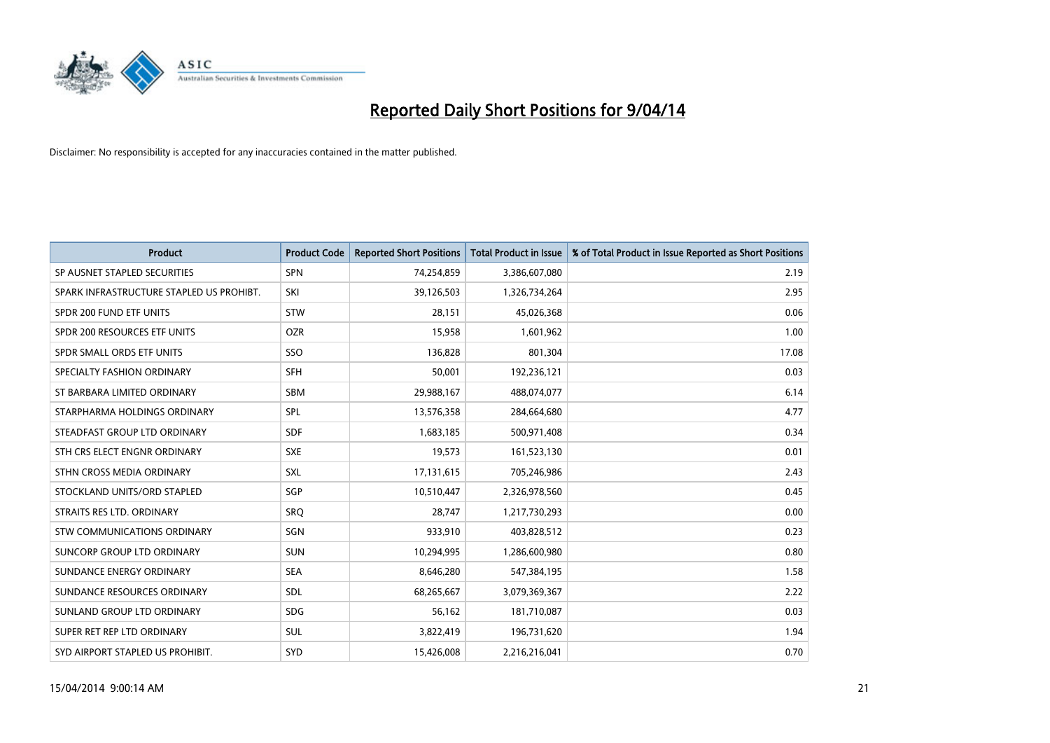

| <b>Product</b>                           | <b>Product Code</b> | <b>Reported Short Positions</b> | <b>Total Product in Issue</b> | % of Total Product in Issue Reported as Short Positions |
|------------------------------------------|---------------------|---------------------------------|-------------------------------|---------------------------------------------------------|
| SP AUSNET STAPLED SECURITIES             | <b>SPN</b>          | 74,254,859                      | 3,386,607,080                 | 2.19                                                    |
| SPARK INFRASTRUCTURE STAPLED US PROHIBT. | SKI                 | 39,126,503                      | 1,326,734,264                 | 2.95                                                    |
| SPDR 200 FUND ETF UNITS                  | <b>STW</b>          | 28,151                          | 45,026,368                    | 0.06                                                    |
| SPDR 200 RESOURCES ETF UNITS             | <b>OZR</b>          | 15,958                          | 1,601,962                     | 1.00                                                    |
| SPDR SMALL ORDS ETF UNITS                | SSO                 | 136,828                         | 801,304                       | 17.08                                                   |
| SPECIALTY FASHION ORDINARY               | <b>SFH</b>          | 50,001                          | 192,236,121                   | 0.03                                                    |
| ST BARBARA LIMITED ORDINARY              | <b>SBM</b>          | 29,988,167                      | 488,074,077                   | 6.14                                                    |
| STARPHARMA HOLDINGS ORDINARY             | <b>SPL</b>          | 13,576,358                      | 284,664,680                   | 4.77                                                    |
| STEADFAST GROUP LTD ORDINARY             | <b>SDF</b>          | 1,683,185                       | 500,971,408                   | 0.34                                                    |
| STH CRS ELECT ENGNR ORDINARY             | <b>SXE</b>          | 19,573                          | 161,523,130                   | 0.01                                                    |
| STHN CROSS MEDIA ORDINARY                | SXL                 | 17,131,615                      | 705,246,986                   | 2.43                                                    |
| STOCKLAND UNITS/ORD STAPLED              | SGP                 | 10,510,447                      | 2,326,978,560                 | 0.45                                                    |
| STRAITS RES LTD. ORDINARY                | <b>SRO</b>          | 28.747                          | 1,217,730,293                 | 0.00                                                    |
| <b>STW COMMUNICATIONS ORDINARY</b>       | <b>SGN</b>          | 933,910                         | 403,828,512                   | 0.23                                                    |
| SUNCORP GROUP LTD ORDINARY               | <b>SUN</b>          | 10,294,995                      | 1,286,600,980                 | 0.80                                                    |
| SUNDANCE ENERGY ORDINARY                 | <b>SEA</b>          | 8,646,280                       | 547,384,195                   | 1.58                                                    |
| SUNDANCE RESOURCES ORDINARY              | <b>SDL</b>          | 68,265,667                      | 3,079,369,367                 | 2.22                                                    |
| SUNLAND GROUP LTD ORDINARY               | <b>SDG</b>          | 56,162                          | 181,710,087                   | 0.03                                                    |
| SUPER RET REP LTD ORDINARY               | <b>SUL</b>          | 3,822,419                       | 196,731,620                   | 1.94                                                    |
| SYD AIRPORT STAPLED US PROHIBIT.         | <b>SYD</b>          | 15.426.008                      | 2,216,216,041                 | 0.70                                                    |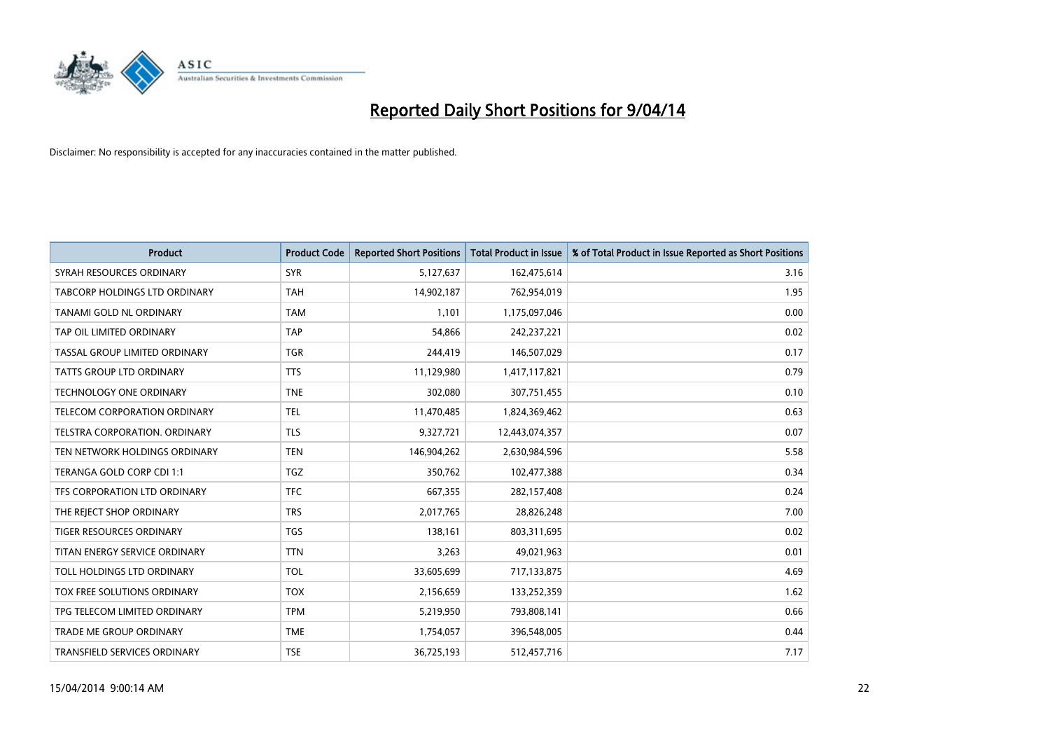

| <b>Product</b>                  | <b>Product Code</b> | <b>Reported Short Positions</b> | <b>Total Product in Issue</b> | % of Total Product in Issue Reported as Short Positions |
|---------------------------------|---------------------|---------------------------------|-------------------------------|---------------------------------------------------------|
| SYRAH RESOURCES ORDINARY        | <b>SYR</b>          | 5,127,637                       | 162,475,614                   | 3.16                                                    |
| TABCORP HOLDINGS LTD ORDINARY   | <b>TAH</b>          | 14,902,187                      | 762,954,019                   | 1.95                                                    |
| TANAMI GOLD NL ORDINARY         | <b>TAM</b>          | 1,101                           | 1,175,097,046                 | 0.00                                                    |
| TAP OIL LIMITED ORDINARY        | <b>TAP</b>          | 54,866                          | 242,237,221                   | 0.02                                                    |
| TASSAL GROUP LIMITED ORDINARY   | <b>TGR</b>          | 244,419                         | 146,507,029                   | 0.17                                                    |
| <b>TATTS GROUP LTD ORDINARY</b> | <b>TTS</b>          | 11,129,980                      | 1,417,117,821                 | 0.79                                                    |
| TECHNOLOGY ONE ORDINARY         | <b>TNE</b>          | 302,080                         | 307,751,455                   | 0.10                                                    |
| TELECOM CORPORATION ORDINARY    | <b>TEL</b>          | 11,470,485                      | 1,824,369,462                 | 0.63                                                    |
| TELSTRA CORPORATION, ORDINARY   | <b>TLS</b>          | 9,327,721                       | 12,443,074,357                | 0.07                                                    |
| TEN NETWORK HOLDINGS ORDINARY   | <b>TEN</b>          | 146,904,262                     | 2,630,984,596                 | 5.58                                                    |
| TERANGA GOLD CORP CDI 1:1       | <b>TGZ</b>          | 350,762                         | 102,477,388                   | 0.34                                                    |
| TFS CORPORATION LTD ORDINARY    | <b>TFC</b>          | 667,355                         | 282,157,408                   | 0.24                                                    |
| THE REJECT SHOP ORDINARY        | <b>TRS</b>          | 2,017,765                       | 28,826,248                    | 7.00                                                    |
| <b>TIGER RESOURCES ORDINARY</b> | <b>TGS</b>          | 138,161                         | 803,311,695                   | 0.02                                                    |
| TITAN ENERGY SERVICE ORDINARY   | <b>TTN</b>          | 3,263                           | 49,021,963                    | 0.01                                                    |
| TOLL HOLDINGS LTD ORDINARY      | <b>TOL</b>          | 33,605,699                      | 717,133,875                   | 4.69                                                    |
| TOX FREE SOLUTIONS ORDINARY     | <b>TOX</b>          | 2,156,659                       | 133,252,359                   | 1.62                                                    |
| TPG TELECOM LIMITED ORDINARY    | <b>TPM</b>          | 5,219,950                       | 793,808,141                   | 0.66                                                    |
| <b>TRADE ME GROUP ORDINARY</b>  | <b>TME</b>          | 1,754,057                       | 396,548,005                   | 0.44                                                    |
| TRANSFIELD SERVICES ORDINARY    | <b>TSE</b>          | 36,725,193                      | 512,457,716                   | 7.17                                                    |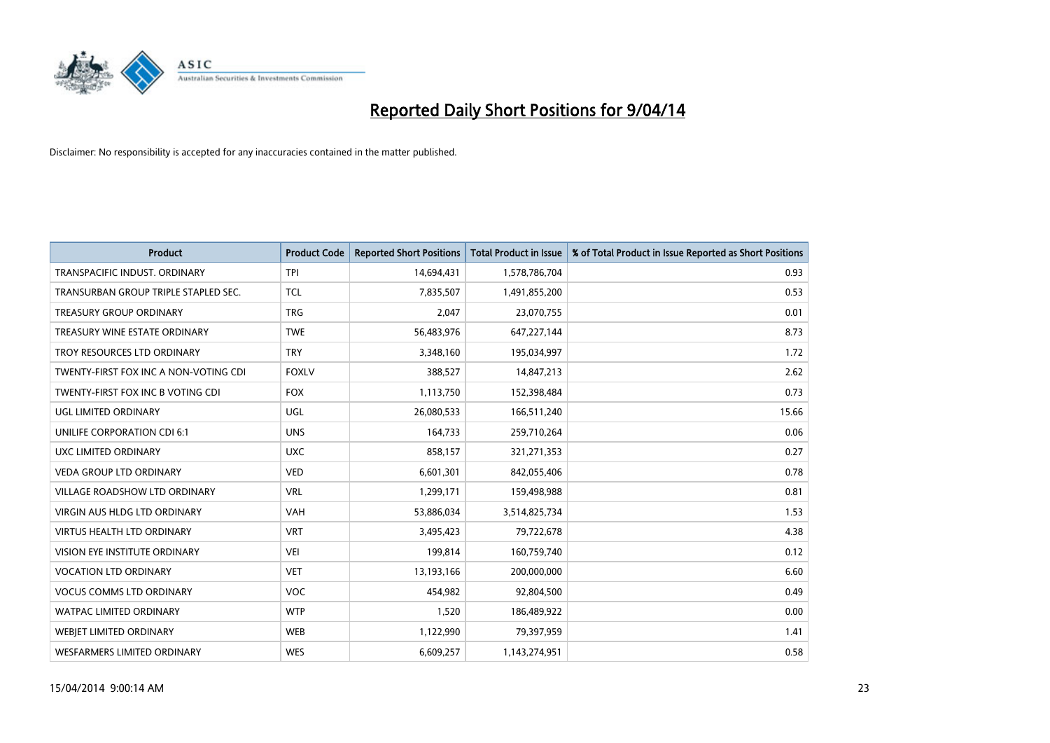

| <b>Product</b>                        | <b>Product Code</b> | <b>Reported Short Positions</b> | <b>Total Product in Issue</b> | % of Total Product in Issue Reported as Short Positions |
|---------------------------------------|---------------------|---------------------------------|-------------------------------|---------------------------------------------------------|
| TRANSPACIFIC INDUST, ORDINARY         | <b>TPI</b>          | 14,694,431                      | 1,578,786,704                 | 0.93                                                    |
| TRANSURBAN GROUP TRIPLE STAPLED SEC.  | <b>TCL</b>          | 7,835,507                       | 1,491,855,200                 | 0.53                                                    |
| <b>TREASURY GROUP ORDINARY</b>        | <b>TRG</b>          | 2,047                           | 23,070,755                    | 0.01                                                    |
| TREASURY WINE ESTATE ORDINARY         | <b>TWE</b>          | 56,483,976                      | 647,227,144                   | 8.73                                                    |
| TROY RESOURCES LTD ORDINARY           | <b>TRY</b>          | 3,348,160                       | 195,034,997                   | 1.72                                                    |
| TWENTY-FIRST FOX INC A NON-VOTING CDI | <b>FOXLV</b>        | 388,527                         | 14,847,213                    | 2.62                                                    |
| TWENTY-FIRST FOX INC B VOTING CDI     | <b>FOX</b>          | 1,113,750                       | 152,398,484                   | 0.73                                                    |
| UGL LIMITED ORDINARY                  | UGL                 | 26,080,533                      | 166,511,240                   | 15.66                                                   |
| UNILIFE CORPORATION CDI 6:1           | <b>UNS</b>          | 164,733                         | 259,710,264                   | 0.06                                                    |
| UXC LIMITED ORDINARY                  | <b>UXC</b>          | 858,157                         | 321,271,353                   | 0.27                                                    |
| VEDA GROUP LTD ORDINARY               | <b>VED</b>          | 6,601,301                       | 842,055,406                   | 0.78                                                    |
| <b>VILLAGE ROADSHOW LTD ORDINARY</b>  | <b>VRL</b>          | 1,299,171                       | 159,498,988                   | 0.81                                                    |
| VIRGIN AUS HLDG LTD ORDINARY          | VAH                 | 53,886,034                      | 3,514,825,734                 | 1.53                                                    |
| VIRTUS HEALTH LTD ORDINARY            | <b>VRT</b>          | 3,495,423                       | 79,722,678                    | 4.38                                                    |
| VISION EYE INSTITUTE ORDINARY         | <b>VEI</b>          | 199,814                         | 160,759,740                   | 0.12                                                    |
| <b>VOCATION LTD ORDINARY</b>          | <b>VET</b>          | 13,193,166                      | 200,000,000                   | 6.60                                                    |
| <b>VOCUS COMMS LTD ORDINARY</b>       | VOC                 | 454,982                         | 92,804,500                    | 0.49                                                    |
| WATPAC LIMITED ORDINARY               | <b>WTP</b>          | 1,520                           | 186,489,922                   | 0.00                                                    |
| WEBJET LIMITED ORDINARY               | <b>WEB</b>          | 1,122,990                       | 79,397,959                    | 1.41                                                    |
| <b>WESFARMERS LIMITED ORDINARY</b>    | <b>WES</b>          | 6,609,257                       | 1,143,274,951                 | 0.58                                                    |